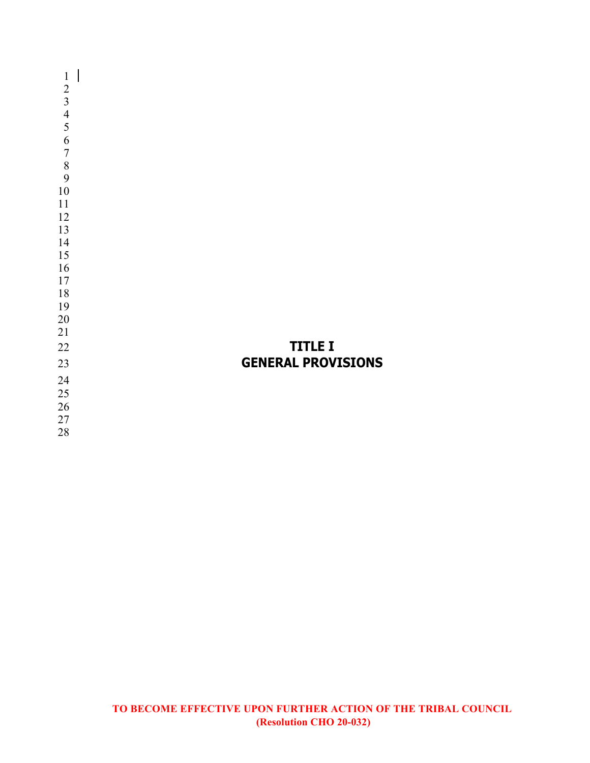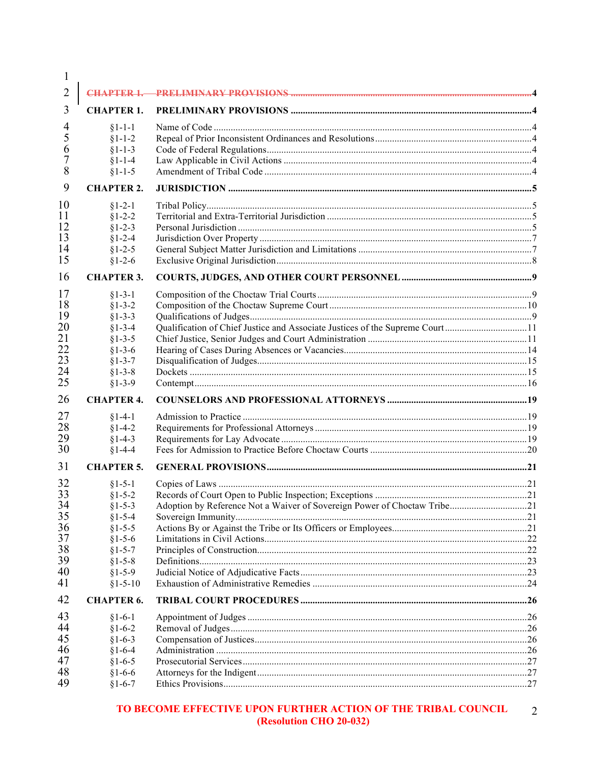| $\mathbf{I}$ |                   |                                                                              |  |
|--------------|-------------------|------------------------------------------------------------------------------|--|
| 2            | <b>CHAPTER 1-</b> |                                                                              |  |
| 3            | <b>CHAPTER 1.</b> |                                                                              |  |
| 4            | $§1 - 1 - 1$      |                                                                              |  |
| 5            | $§1 - 1 - 2$      |                                                                              |  |
| 6            | $§1 - 1 - 3$      |                                                                              |  |
|              | $§1 - 1 - 4$      |                                                                              |  |
| 8            | $§1 - 1 - 5$      |                                                                              |  |
| 9            | <b>CHAPTER 2.</b> |                                                                              |  |
| 10           | $§1 - 2 - 1$      |                                                                              |  |
| 11           | $§1 - 2 - 2$      |                                                                              |  |
| 12           | $§1 - 2 - 3$      |                                                                              |  |
| 13           | $§1 - 2 - 4$      |                                                                              |  |
| 14           | $§1 - 2 - 5$      |                                                                              |  |
| 15           | $§1 - 2 - 6$      |                                                                              |  |
| 16           | <b>CHAPTER 3.</b> |                                                                              |  |
| 17           | $§1 - 3 - 1$      |                                                                              |  |
| 18           | $§1 - 3 - 2$      |                                                                              |  |
| 19           | $§1 - 3 - 3$      |                                                                              |  |
| 20           | $§1 - 3 - 4$      | Qualification of Chief Justice and Associate Justices of the Supreme Court11 |  |
| 21           | $§1 - 3 - 5$      |                                                                              |  |
| 22           | $§1 - 3 - 6$      |                                                                              |  |
| 23           | $§1 - 3 - 7$      |                                                                              |  |
| 24           | $§1 - 3 - 8$      |                                                                              |  |
| 25           | $§1 - 3 - 9$      |                                                                              |  |
| 26           | <b>CHAPTER 4.</b> |                                                                              |  |
| 27           | $§1 - 4 - 1$      |                                                                              |  |
| 28           | $§1 - 4 - 2$      |                                                                              |  |
| 29           | $§1 - 4 - 3$      |                                                                              |  |
| 30           | $§1 - 4 - 4$      |                                                                              |  |
| 31           | <b>CHAPTER 5.</b> |                                                                              |  |
| 32           | $§1 - 5 - 1$      |                                                                              |  |
| 33           | $§1 - 5 - 2$      |                                                                              |  |
| 34           | $§1 - 5 - 3$      |                                                                              |  |
| 35           | $§1 - 5 - 4$      |                                                                              |  |
| 36           | $§1 - 5 - 5$      |                                                                              |  |
| 37           | $§1 - 5 - 6$      |                                                                              |  |
| 38           | $§1 - 5 - 7$      |                                                                              |  |
| 39           | $§1 - 5 - 8$      |                                                                              |  |
| 40           | $§1 - 5 - 9$      |                                                                              |  |
| 41           | $§1 - 5 - 10$     |                                                                              |  |
| 42           | <b>CHAPTER 6.</b> |                                                                              |  |
| 43           | $§1 - 6 - 1$      |                                                                              |  |
| 44           | $§1 - 6 - 2$      |                                                                              |  |
| 45           | $§1 - 6 - 3$      |                                                                              |  |
| 46           | $§1 - 6 - 4$      |                                                                              |  |
| 47           | $§1 - 6 - 5$      |                                                                              |  |
| 48           | $§1 - 6 - 6$      |                                                                              |  |
| 49           |                   |                                                                              |  |
|              | $§1 - 6 - 7$      |                                                                              |  |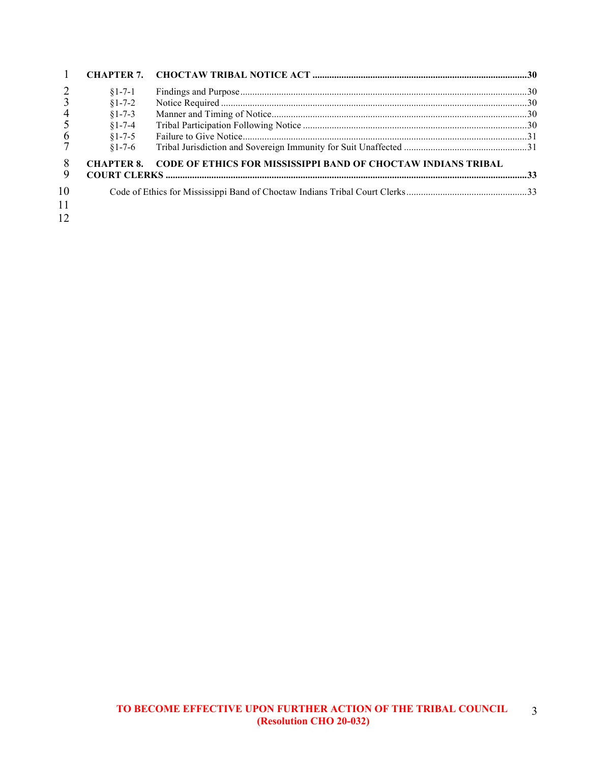|                | $$1-7-1$          |                                                                      |  |
|----------------|-------------------|----------------------------------------------------------------------|--|
|                | $§1 - 7 - 2$      |                                                                      |  |
| $\overline{4}$ | $§1 - 7 - 3$      |                                                                      |  |
|                | $§1 - 7 - 4$      |                                                                      |  |
| 6              | $§1 - 7 - 5$      |                                                                      |  |
|                | $$1-7-6$          |                                                                      |  |
| 8<br>9         | <b>CHAPTER 8.</b> | <b>CODE OF ETHICS FOR MISSISSIPPI BAND OF CHOCTAW INDIANS TRIBAL</b> |  |
|                |                   |                                                                      |  |
| 10             |                   |                                                                      |  |
| 11             |                   |                                                                      |  |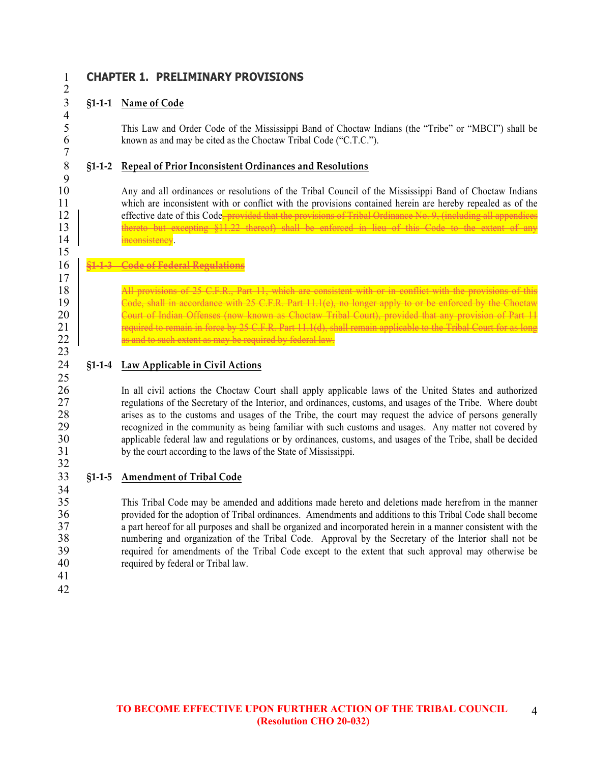$rac{4}{5}$ 

7

 $\frac{9}{10}$ 

15

17

23

32

34

# 1 **CHAPTER 1. PRELIMINARY PROVISIONS**

# 3 **§1-1-1 Name of Code**

5 This Law and Order Code of the Mississippi Band of Choctaw Indians (the "Tribe" or "MBCI") shall be<br>6 known as and may be cited as the Choctaw Tribal Code ("C T C ") known as and may be cited as the Choctaw Tribal Code ("C.T.C.").

# 8 **§1-1-2 Repeal of Prior Inconsistent Ordinances and Resolutions**

10 Any and all ordinances or resolutions of the Tribal Council of the Mississippi Band of Choctaw Indians<br>11 which are inconsistent with or conflict with the provisions contained herein are hereby repealed as of the which are inconsistent with or conflict with the provisions contained herein are hereby repealed as of the  $12$  effective date of this Code, provided that the provisions of Tribal Ordinance No. 9, (including all appendices 13 thereto but excepting §11.22 thereof) shall be enforced in lieu of this Code to the extent of any 14 inconsistency.

# 16 **§1-1-3 Code of Federal Regulations**

18 All provisions of 25 C.F.R., Part 11, which are consistent with or in conflict with the provisions of this<br>19 Code, shall in accordance with 25 C.F.R. Part 11 1(e), no longer apply to or be enforced by the Choctaw 19 Code, shall in accordance with 25 C.F.R. Part 11.1(e), no longer apply to or be enforced by the Choctaw<br>20 Court of Indian Offenses (now known as Choctaw Tribal Court), provided that any provision of Part 11 20 Court of Indian Offenses (now known as Choctaw Tribal Court), provided that any provision of Part 11 21 required to remain in force by 25 C.F.R. Part 11.1(d), shall remain applicable to the Tribal Court for as long<br>22 as and to such extent as may be required by federal law. as and to such extent as may be required by federal law.

#### 24 **§1-1-4 Law Applicable in Civil Actions** 25

26 In all civil actions the Choctaw Court shall apply applicable laws of the United States and authorized<br>27 cevaluations of the Secretary of the Interior and ordinances customs and usages of the Tribe Where doubt 27 regulations of the Secretary of the Interior, and ordinances, customs, and usages of the Tribe. Where doubt arises as to the customs and usages of the Tribe. the court may request the advice of persons generally 28 arises as to the customs and usages of the Tribe, the court may request the advice of persons generally<br>29 recognized in the community as being familiar with such customs and usages. Any matter not covered by 29 recognized in the community as being familiar with such customs and usages. Any matter not covered by 30 applicable federal law and regulations or by ordinances, customs, and usages of the Tribe, shall be decided 31 by the court according to the laws of the State of Mississippi.

## 33 **§1-1-5 Amendment of Tribal Code**

35 This Tribal Code may be amended and additions made hereto and deletions made herefrom in the manner 36 provided for the adoption of Tribal ordinances. Amendments and additions to this Tribal Code shall become 37 a part hereof for all purposes and shall be organized and incorporated herein in a manner consistent with the 38 numbering and organization of the Tribal Code. Approval by the Secretary of the Interior shall not be 39 required for amendments of the Tribal Code except to the extent that such approval may otherwise be 40 required by federal or Tribal law.

41 42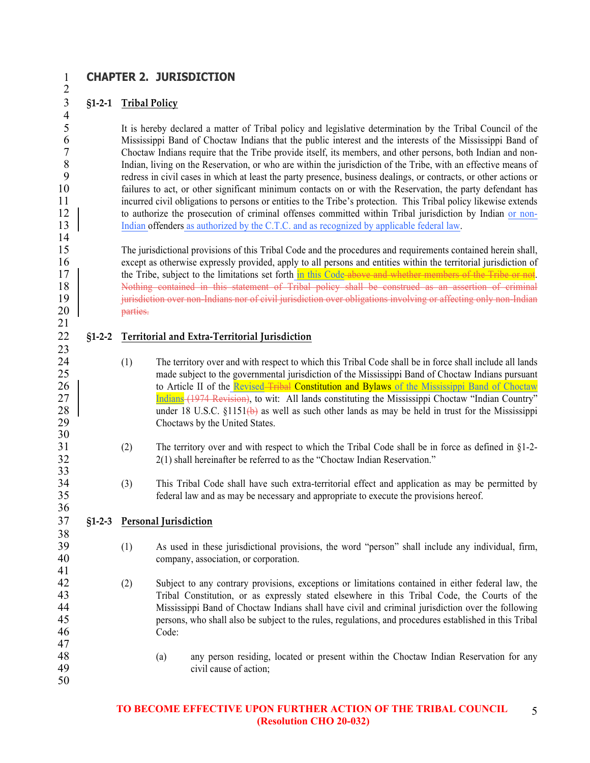# 1 **CHAPTER 2. JURISDICTION**

### 3 **§1-2-1 Tribal Policy**

2

 $\frac{4}{5}$ 

 $\frac{14}{15}$ 

21

23

30

 $\frac{33}{34}$ 

36

38

41

50

5 It is hereby declared a matter of Tribal policy and legislative determination by the Tribal Council of the<br>6 Mississippi Band of Choctaw Indians that the public interest and the interests of the Mississippi Band of 6 Mississippi Band of Choctaw Indians that the public interest and the interests of the Mississippi Band of Choctaw Indians require that the Tribe provide itself, its members, and other persons, both Indian and non-7 Choctaw Indians require that the Tribe provide itself, its members, and other persons, both Indian and non-<br>8 Indian. living on the Reservation, or who are within the iurisdiction of the Tribe, with an effective means of 8 Indian, living on the Reservation, or who are within the jurisdiction of the Tribe, with an effective means of redress in civil cases in which at least the party presence, business dealings, or contracts, or other action 9 redress in civil cases in which at least the party presence, business dealings, or contracts, or other actions or 10 failures to act, or other significant minimum contacts on or with the Reservation, the party defendant has 11 incurred civil obligations to persons or entities to the Tribe's protection. This Tribal policy likewise extends<br>12 | to authorize the prosecution of criminal offenses committed within Tribal iurisdiction by Indian or n to authorize the prosecution of criminal offenses committed within Tribal jurisdiction by Indian or non-13 Indian offenders as authorized by the C.T.C. and as recognized by applicable federal law.

15 The jurisdictional provisions of this Tribal Code and the procedures and requirements contained herein shall, 16 except as otherwise expressly provided, apply to all persons and entities within the territorial jurisdiction of the Tribe subject to the limitations set forth in this Code-above and whether members of the Tribe or not. the Tribe, subject to the limitations set forth in this Code above and whether members of the Tribe or not. 18 Nothing contained in this statement of Tribal policy shall be construed as an assertion of criminal 19 jurisdiction over non-Indians nor of civil jurisdiction over obligations involving or affecting only non-Indian 20 parties.

# 22 **§1-2-2 Territorial and Extra-Territorial Jurisdiction**

- 24 (1) The territory over and with respect to which this Tribal Code shall be in force shall include all lands 25 made subject to the governmental jurisdiction of the Mississippi Band of Choctaw Indians pursuant 26 to Article II of the Revised–Tribal Constitution and Bylaws of the Mississippi Band of Choctaw<br>27 Indians (1974 Revision), to wit: All lands constituting the Mississippi Choctaw "Indian Country" 27 Indians (1974 Revision), to wit: All lands constituting the Mississippi Choctaw "Indian Country" 28 under 18 U.S.C.  $$1151(b)$  as well as such other lands as may be held in trust for the Mississippi Choctaws by the United States Choctaws by the United States.
- 31 (2) The territory over and with respect to which the Tribal Code shall be in force as defined in §1-2- 32 2(1) shall hereinafter be referred to as the "Choctaw Indian Reservation."
- 34 (3) This Tribal Code shall have such extra-territorial effect and application as may be permitted by federal law and as may be necessary and appropriate to execute the provisions hereof. federal law and as may be necessary and appropriate to execute the provisions hereof.

### 37 **§1-2-3 Personal Jurisdiction**

- 39 (1) As used in these jurisdictional provisions, the word "person" shall include any individual, firm, 40 company, association, or corporation.
- 42 (2) Subject to any contrary provisions, exceptions or limitations contained in either federal law, the Tribal Constitution or as expressly stated elsewhere in this Tribal Code the Courts of the 43 Tribal Constitution, or as expressly stated elsewhere in this Tribal Code, the Courts of the 44 Mississippi Band of Choctaw Indians shall have civil and criminal jurisdiction over the following 45 persons, who shall also be subject to the rules, regulations, and procedures established in this Tribal 46 Code: 47
- 48 (a) any person residing, located or present within the Choctaw Indian Reservation for any civil cause of action: civil cause of action;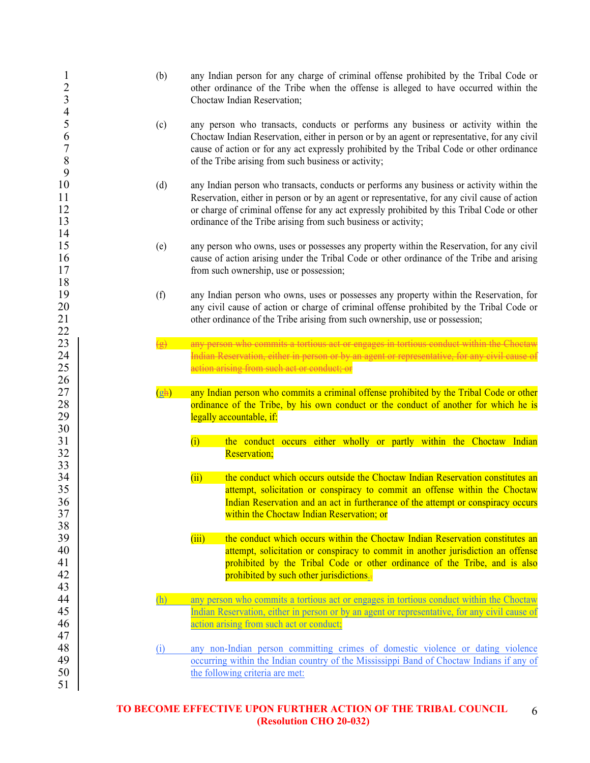| $\mathbf{I}$<br>$\overline{\mathbf{c}}$<br>$\overline{\mathbf{3}}$<br>$\overline{\mathcal{A}}$ | (b)                        | any Indian person for any charge of criminal offense prohibited by the Tribal Code or<br>other ordinance of the Tribe when the offense is alleged to have occurred within the<br>Choctaw Indian Reservation;                                                                                                                                                                                                                                           |
|------------------------------------------------------------------------------------------------|----------------------------|--------------------------------------------------------------------------------------------------------------------------------------------------------------------------------------------------------------------------------------------------------------------------------------------------------------------------------------------------------------------------------------------------------------------------------------------------------|
| 5<br>6<br>$\sqrt{ }$<br>$\,$ $\,$<br>9                                                         | (c)                        | any person who transacts, conducts or performs any business or activity within the<br>Choctaw Indian Reservation, either in person or by an agent or representative, for any civil<br>cause of action or for any act expressly prohibited by the Tribal Code or other ordinance<br>of the Tribe arising from such business or activity;                                                                                                                |
| 10<br>11<br>12<br>13<br>14                                                                     | (d)                        | any Indian person who transacts, conducts or performs any business or activity within the<br>Reservation, either in person or by an agent or representative, for any civil cause of action<br>or charge of criminal offense for any act expressly prohibited by this Tribal Code or other<br>ordinance of the Tribe arising from such business or activity;                                                                                            |
| 15<br>16<br>17<br>18                                                                           | (e)                        | any person who owns, uses or possesses any property within the Reservation, for any civil<br>cause of action arising under the Tribal Code or other ordinance of the Tribe and arising<br>from such ownership, use or possession;                                                                                                                                                                                                                      |
| 19<br>20<br>21                                                                                 | (f)                        | any Indian person who owns, uses or possesses any property within the Reservation, for<br>any civil cause of action or charge of criminal offense prohibited by the Tribal Code or<br>other ordinance of the Tribe arising from such ownership, use or possession;                                                                                                                                                                                     |
| 22<br>23<br>24<br>25<br>26<br>$27\,$<br>28<br>29                                               | $\left( \n\right)$<br>(gh) | any person who commits a tortious act or engages in tortious conduct within the Choctaw<br>Indian Reservation, either in person or by an agent or representative, for any civil cause of<br>action arising from such act or conduct; or<br>any Indian person who commits a criminal offense prohibited by the Tribal Code or other<br>ordinance of the Tribe, by his own conduct or the conduct of another for which he is<br>legally accountable, if: |
| 30<br>31<br>32<br>33                                                                           |                            | the conduct occurs either wholly or partly within the Choctaw Indian<br>(i)<br><b>Reservation;</b>                                                                                                                                                                                                                                                                                                                                                     |
| 34<br>35<br>36<br>37<br>38                                                                     |                            | the conduct which occurs outside the Choctaw Indian Reservation constitutes an<br>(i)<br>attempt, solicitation or conspiracy to commit an offense within the Choctaw<br>Indian Reservation and an act in furtherance of the attempt or conspiracy occurs<br>within the Choctaw Indian Reservation; or                                                                                                                                                  |
| 39<br>40<br>41<br>42<br>43                                                                     |                            | (iii)<br>the conduct which occurs within the Choctaw Indian Reservation constitutes an<br>attempt, solicitation or conspiracy to commit in another jurisdiction an offense<br>prohibited by the Tribal Code or other ordinance of the Tribe, and is also<br>prohibited by such other jurisdictions.                                                                                                                                                    |
| 44<br>45<br>46<br>47                                                                           | (h)                        | any person who commits a tortious act or engages in tortious conduct within the Choctaw<br>Indian Reservation, either in person or by an agent or representative, for any civil cause of<br>action arising from such act or conduct;                                                                                                                                                                                                                   |
| 48<br>49<br>50<br>51                                                                           | (i)                        | any non-Indian person committing crimes of domestic violence or dating violence<br>occurring within the Indian country of the Mississippi Band of Choctaw Indians if any of<br>the following criteria are met:                                                                                                                                                                                                                                         |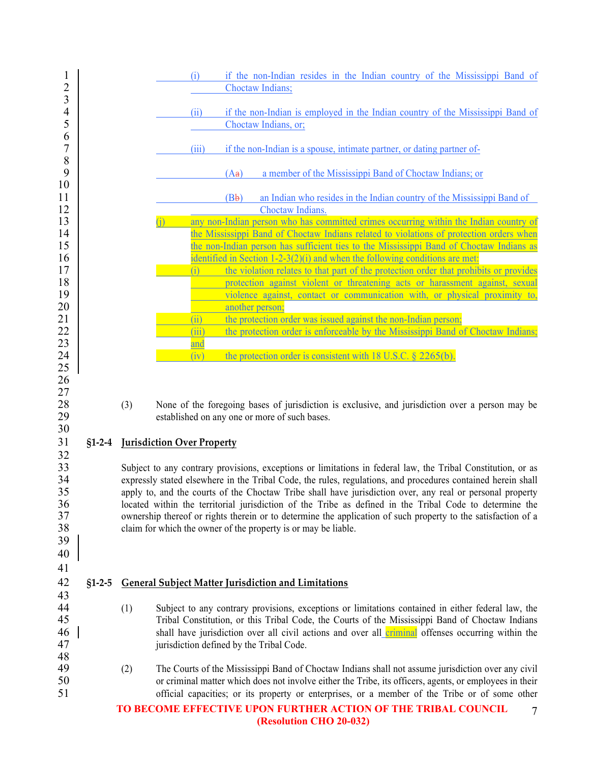| $\mathbf{1}$<br>$\overline{c}$                     |          |     | (i)                               | if the non-Indian resides in the Indian country of the Mississippi Band of<br>Choctaw Indians;                                                                                                                                                                                                                                                                                                                                                                                                                                                                                                                                          |
|----------------------------------------------------|----------|-----|-----------------------------------|-----------------------------------------------------------------------------------------------------------------------------------------------------------------------------------------------------------------------------------------------------------------------------------------------------------------------------------------------------------------------------------------------------------------------------------------------------------------------------------------------------------------------------------------------------------------------------------------------------------------------------------------|
| 3<br>$\overline{4}$<br>5                           |          |     | (ii)                              | if the non-Indian is employed in the Indian country of the Mississippi Band of<br>Choctaw Indians, or;                                                                                                                                                                                                                                                                                                                                                                                                                                                                                                                                  |
| 6<br>$\boldsymbol{7}$                              |          |     | (iii)                             | if the non-Indian is a spouse, intimate partner, or dating partner of-                                                                                                                                                                                                                                                                                                                                                                                                                                                                                                                                                                  |
| $\,$ $\,$<br>9                                     |          |     |                                   | a member of the Mississippi Band of Choctaw Indians; or<br>(Aa)                                                                                                                                                                                                                                                                                                                                                                                                                                                                                                                                                                         |
| 10<br>11                                           |          |     |                                   | (Bb)<br>an Indian who resides in the Indian country of the Mississippi Band of                                                                                                                                                                                                                                                                                                                                                                                                                                                                                                                                                          |
| 12                                                 |          |     |                                   | Choctaw Indians.                                                                                                                                                                                                                                                                                                                                                                                                                                                                                                                                                                                                                        |
| 13                                                 |          |     |                                   | any non-Indian person who has committed crimes occurring within the Indian country of                                                                                                                                                                                                                                                                                                                                                                                                                                                                                                                                                   |
| 14                                                 |          |     |                                   | the Mississippi Band of Choctaw Indians related to violations of protection orders when                                                                                                                                                                                                                                                                                                                                                                                                                                                                                                                                                 |
| 15                                                 |          |     |                                   | the non-Indian person has sufficient ties to the Mississippi Band of Choctaw Indians as                                                                                                                                                                                                                                                                                                                                                                                                                                                                                                                                                 |
| 16                                                 |          |     |                                   | identified in Section 1-2-3(2)(i) and when the following conditions are met:                                                                                                                                                                                                                                                                                                                                                                                                                                                                                                                                                            |
| 17                                                 |          |     | (i)                               | the violation relates to that part of the protection order that prohibits or provides                                                                                                                                                                                                                                                                                                                                                                                                                                                                                                                                                   |
| 18                                                 |          |     |                                   | protection against violent or threatening acts or harassment against, sexual                                                                                                                                                                                                                                                                                                                                                                                                                                                                                                                                                            |
| 19                                                 |          |     |                                   | violence against, contact or communication with, or physical proximity to,                                                                                                                                                                                                                                                                                                                                                                                                                                                                                                                                                              |
| 20                                                 |          |     |                                   | another person;                                                                                                                                                                                                                                                                                                                                                                                                                                                                                                                                                                                                                         |
| 21                                                 |          |     | (i)                               | the protection order was issued against the non-Indian person;                                                                                                                                                                                                                                                                                                                                                                                                                                                                                                                                                                          |
| 22                                                 |          |     | (iii)                             | the protection order is enforceable by the Mississippi Band of Choctaw Indians;                                                                                                                                                                                                                                                                                                                                                                                                                                                                                                                                                         |
| 23                                                 |          |     | and                               |                                                                                                                                                                                                                                                                                                                                                                                                                                                                                                                                                                                                                                         |
| 24                                                 |          |     | (iv)                              | the protection order is consistent with 18 U.S.C. $\S$ 2265(b).                                                                                                                                                                                                                                                                                                                                                                                                                                                                                                                                                                         |
| 25                                                 |          |     |                                   |                                                                                                                                                                                                                                                                                                                                                                                                                                                                                                                                                                                                                                         |
| 26<br>27<br>28<br>29                               |          | (3) |                                   | None of the foregoing bases of jurisdiction is exclusive, and jurisdiction over a person may be<br>established on any one or more of such bases.                                                                                                                                                                                                                                                                                                                                                                                                                                                                                        |
| 30<br>31                                           | $$1-2-4$ |     | <b>Jurisdiction Over Property</b> |                                                                                                                                                                                                                                                                                                                                                                                                                                                                                                                                                                                                                                         |
| 32<br>33<br>34<br>35<br>36<br>37<br>38<br>39<br>40 |          |     |                                   | Subject to any contrary provisions, exceptions or limitations in federal law, the Tribal Constitution, or as<br>expressly stated elsewhere in the Tribal Code, the rules, regulations, and procedures contained herein shall<br>apply to, and the courts of the Choctaw Tribe shall have jurisdiction over, any real or personal property<br>located within the territorial jurisdiction of the Tribe as defined in the Tribal Code to determine the<br>ownership thereof or rights therein or to determine the application of such property to the satisfaction of a<br>claim for which the owner of the property is or may be liable. |
| 41<br>42                                           | $$1-2-5$ |     |                                   | <b>General Subject Matter Jurisdiction and Limitations</b>                                                                                                                                                                                                                                                                                                                                                                                                                                                                                                                                                                              |
| 43                                                 |          |     |                                   |                                                                                                                                                                                                                                                                                                                                                                                                                                                                                                                                                                                                                                         |
| 44                                                 |          | (1) |                                   | Subject to any contrary provisions, exceptions or limitations contained in either federal law, the                                                                                                                                                                                                                                                                                                                                                                                                                                                                                                                                      |
| 45                                                 |          |     |                                   | Tribal Constitution, or this Tribal Code, the Courts of the Mississippi Band of Choctaw Indians                                                                                                                                                                                                                                                                                                                                                                                                                                                                                                                                         |
|                                                    |          |     |                                   |                                                                                                                                                                                                                                                                                                                                                                                                                                                                                                                                                                                                                                         |
| 46                                                 |          |     |                                   | shall have jurisdiction over all civil actions and over all criminal offenses occurring within the                                                                                                                                                                                                                                                                                                                                                                                                                                                                                                                                      |
| 47                                                 |          |     |                                   | jurisdiction defined by the Tribal Code.                                                                                                                                                                                                                                                                                                                                                                                                                                                                                                                                                                                                |
| 48                                                 |          |     |                                   |                                                                                                                                                                                                                                                                                                                                                                                                                                                                                                                                                                                                                                         |
| 49                                                 |          | (2) |                                   | The Courts of the Mississippi Band of Choctaw Indians shall not assume jurisdiction over any civil                                                                                                                                                                                                                                                                                                                                                                                                                                                                                                                                      |
| 50                                                 |          |     |                                   | or criminal matter which does not involve either the Tribe, its officers, agents, or employees in their                                                                                                                                                                                                                                                                                                                                                                                                                                                                                                                                 |
| 51                                                 |          |     |                                   | official capacities; or its property or enterprises, or a member of the Tribe or of some other                                                                                                                                                                                                                                                                                                                                                                                                                                                                                                                                          |
|                                                    |          |     |                                   | TO BECOME EFFECTIVE UPON FURTHER ACTION OF THE TRIBAL COUNCIL<br>7<br>(Resolution CHO 20-032)                                                                                                                                                                                                                                                                                                                                                                                                                                                                                                                                           |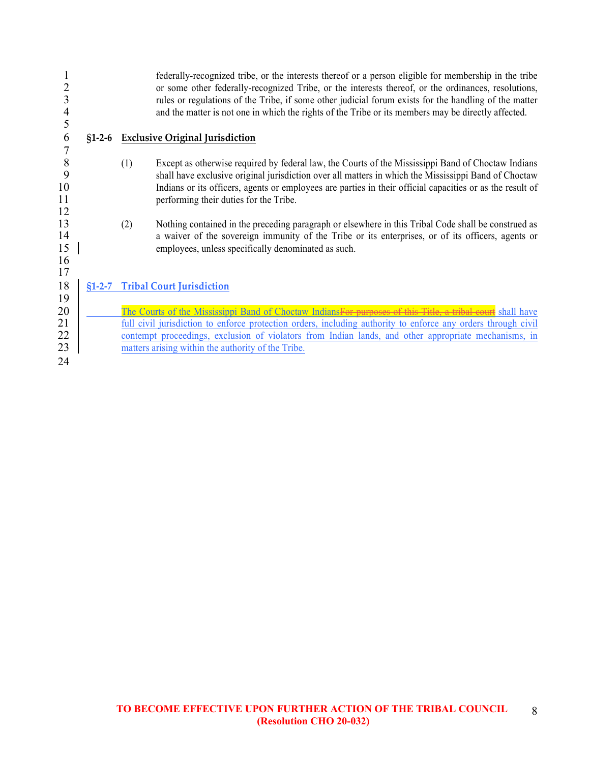| 2<br>3<br>4<br>5                                      |          |            | federally-recognized tribe, or the interests thereof or a person eligible for membership in the tribe<br>or some other federally-recognized Tribe, or the interests thereof, or the ordinances, resolutions,<br>rules or regulations of the Tribe, if some other judicial forum exists for the handling of the matter<br>and the matter is not one in which the rights of the Tribe or its members may be directly affected.                                                                                                                                                                                                         |
|-------------------------------------------------------|----------|------------|--------------------------------------------------------------------------------------------------------------------------------------------------------------------------------------------------------------------------------------------------------------------------------------------------------------------------------------------------------------------------------------------------------------------------------------------------------------------------------------------------------------------------------------------------------------------------------------------------------------------------------------|
| 6<br>$\overline{7}$                                   | $$1-2-6$ |            | <b>Exclusive Original Jurisdiction</b>                                                                                                                                                                                                                                                                                                                                                                                                                                                                                                                                                                                               |
| $\, 8$<br>9<br>10<br>11<br>12<br>13<br>14<br>15<br>16 |          | (1)<br>(2) | Except as otherwise required by federal law, the Courts of the Mississippi Band of Choctaw Indians<br>shall have exclusive original jurisdiction over all matters in which the Mississippi Band of Choctaw<br>Indians or its officers, agents or employees are parties in their official capacities or as the result of<br>performing their duties for the Tribe.<br>Nothing contained in the preceding paragraph or elsewhere in this Tribal Code shall be construed as<br>a waiver of the sovereign immunity of the Tribe or its enterprises, or of its officers, agents or<br>employees, unless specifically denominated as such. |
| 17<br>18<br>19<br>20<br>21<br>22                      | $$1-2-7$ |            | <b>Tribal Court Jurisdiction</b><br>The Courts of the Mississippi Band of Choctaw IndiansFor purposes of this Title, a tribal court shall have<br>full civil jurisdiction to enforce protection orders, including authority to enforce any orders through civil<br>contempt proceedings, exclusion of violators from Indian lands, and other appropriate mechanisms, in                                                                                                                                                                                                                                                              |
| 23<br>24                                              |          |            | matters arising within the authority of the Tribe.                                                                                                                                                                                                                                                                                                                                                                                                                                                                                                                                                                                   |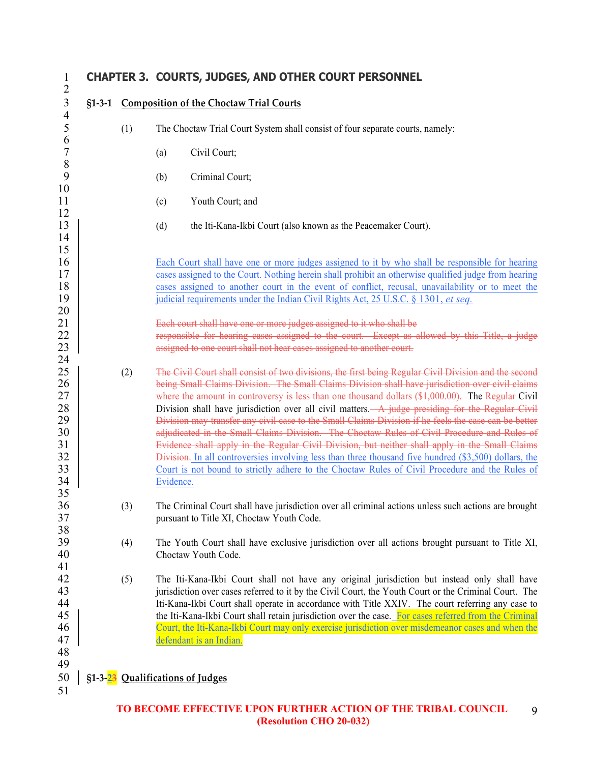#### 1 **CHAPTER 3. COURTS, JUDGES, AND OTHER COURT PERSONNEL** 2 3 **§1-3-1 Composition of the Choctaw Trial Courts**  $\frac{4}{5}$ 5 (1) The Choctaw Trial Court System shall consist of four separate courts, namely:  $\frac{6}{7}$ (a) Civil Court; 8 (b) Criminal Court; 10 11 (c) Youth Court; and 12 13 (d) the Iti-Kana-Ikbi Court (also known as the Peacemaker Court). 14 15 16 **Each Court shall have one or more judges assigned to it by who shall be responsible for hearing** 17 **cases assigned to the Court.** Nothing herein shall prohibit an otherwise qualified judge from hearing 18 cases assigned to another court in the event of conflict, recusal, unavailability or to meet the 19 judicial requirements under the Indian Civil Rights Act, 25 U.S.C. § 1301, *et seq.* 20 21 **Each court shall have one or more judges assigned to it who shall be**<br>22 **Except as a sexually constant of the sexual of the sexual sexual sexual sexual sexual sexual sexual sexual sexual sexual sexual sexual sexual se** responsible for hearing cases assigned to the court. Except as allowed by this Title, a judge 23 **23 b** assigned to one court shall not hear cases assigned to another court.  $\frac{24}{25}$ 25 (2) The Civil Court shall consist of two divisions, the first being Regular Civil Division and the second 26 **being Small Claims Division. The Small Claims Division shall have jurisdiction over civil claims** 27 where the amount in controversy is less than one thousand dollars  $(\$1,000.00)$ . The Regular Civil<br>28 Division shall have jurisdiction over all civil matters. A judge presiding for the Regular Civil 28 Division shall have jurisdiction over all civil matters. A judge presiding for the Regular Civil<br>29 Division may transfer any civil case to the Small Claims Division if he feels the case can be better 29 Division may transfer any civil case to the Small Claims Division if he feels the case can be better<br>30 adjudicated in the Small Claims Division. The Choctaw Rules of Civil Procedure and Rules of 30 adjudicated in the Small Claims Division. The Choctaw Rules of Civil Procedure and Rules of 31 Evidence shall apply in the Regular Civil Division, but neither shall apply in the Small Claims 32 Division. In all controversies involving less than three thousand five hundred (\$3,500) dollars, the 33 Court is not bound to strictly adhere to the Choctaw Rules of Civil Procedure and the Rules of 34 Evidence. 35 36 (3) The Criminal Court shall have jurisdiction over all criminal actions unless such actions are brought 37 pursuant to Title XI, Choctaw Youth Code. 38<br>39 39 (4) The Youth Court shall have exclusive jurisdiction over all actions brought pursuant to Title XI,<br>40 Choctaw Youth Code. 41<br>42 42 (5) The Iti-Kana-Ikbi Court shall not have any original jurisdiction but instead only shall have 43 jurisdiction over cases referred to it by the Civil Court, the Youth Court or the Criminal Court. The 44 Iti-Kana-Ikbi Court shall operate in accordance with Title XXIV. The court referring any case to<br>45 | the Iti-Kana-Ikbi Court shall retain iurisdiction over the case. For cases referred from the Criminal the Iti-Kana-Ikbi Court shall retain jurisdiction over the case. For cases referred from the Criminal 46 Court, the Iti-Kana-Ikbi Court may only exercise jurisdiction over misdemeanor cases and when the 47 defendant is an Indian. 48 49 50 **§1-3-23 Qualifications of Judges** 51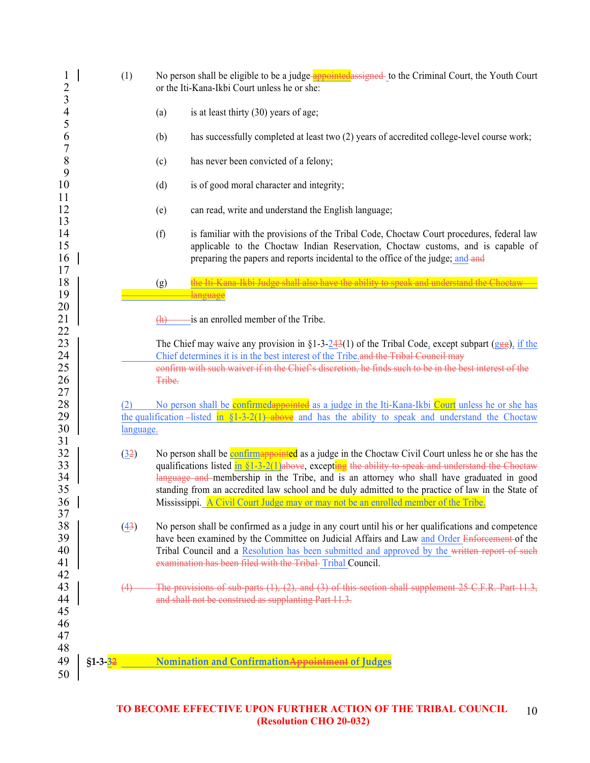| $\mathbf 1$<br>$\overline{c}$<br>$\overline{3}$ |           | (1)       | No person shall be eligible to be a judge-appointed assigned- to the Criminal Court, the Youth Court<br>or the Iti-Kana-Ikbi Court unless he or she:                                                                                                                    |
|-------------------------------------------------|-----------|-----------|-------------------------------------------------------------------------------------------------------------------------------------------------------------------------------------------------------------------------------------------------------------------------|
| $\overline{\mathcal{A}}$<br>5                   |           |           | is at least thirty (30) years of age;<br>(a)                                                                                                                                                                                                                            |
| 6<br>$\overline{7}$                             |           |           | has successfully completed at least two (2) years of accredited college-level course work;<br>(b)                                                                                                                                                                       |
| $8\phantom{.}$<br>9                             |           |           | has never been convicted of a felony;<br>(c)                                                                                                                                                                                                                            |
| 10<br>11                                        |           |           | is of good moral character and integrity;<br>(d)                                                                                                                                                                                                                        |
| 12<br>13                                        |           |           | can read, write and understand the English language;<br>(e)                                                                                                                                                                                                             |
| 14<br>15<br>16                                  |           |           | is familiar with the provisions of the Tribal Code, Choctaw Court procedures, federal law<br>(f)<br>applicable to the Choctaw Indian Reservation, Choctaw customs, and is capable of<br>preparing the papers and reports incidental to the office of the judge; and and |
| 17<br>18                                        |           |           | the Iti-Kana Ikhi Judge shall also have the ability to speak and understand the Choctaw<br>(g)                                                                                                                                                                          |
| 19                                              |           |           | language                                                                                                                                                                                                                                                                |
| 20                                              |           |           |                                                                                                                                                                                                                                                                         |
| 21<br>22                                        |           |           | -is an enrolled member of the Tribe.                                                                                                                                                                                                                                    |
| 23                                              |           |           | The Chief may waive any provision in §1-3-243(1) of the Tribal Code, except subpart (ggg), if the                                                                                                                                                                       |
| 24                                              |           |           | Chief determines it is in the best interest of the Tribe and the Tribal Council may                                                                                                                                                                                     |
| 25<br>26                                        |           |           | confirm with such waiver if in the Chief's discretion, he finds such to be in the best interest of the<br>Tribe.                                                                                                                                                        |
| 27                                              |           |           |                                                                                                                                                                                                                                                                         |
| 28                                              |           |           | No person shall be confirmed appointed as a judge in the Iti-Kana-Ikbi Court unless he or she has                                                                                                                                                                       |
| 29                                              |           |           | the qualification –listed in $$1-3-2(1)$ above and has the ability to speak and understand the Choctaw                                                                                                                                                                  |
| 30                                              |           | language. |                                                                                                                                                                                                                                                                         |
| 31<br>32                                        |           |           | No person shall be confirmappointed as a judge in the Choctaw Civil Court unless he or she has the                                                                                                                                                                      |
| 33                                              |           | (32)      | qualifications listed $\frac{\ln \S 1-3-2(1)}{a}$ above, excepting the ability to speak and understand the Choetaw                                                                                                                                                      |
| 34                                              |           |           | language and membership in the Tribe, and is an attorney who shall have graduated in good                                                                                                                                                                               |
| 35                                              |           |           | standing from an accredited law school and be duly admitted to the practice of law in the State of                                                                                                                                                                      |
| 36                                              |           |           | Mississippi. A Civil Court Judge may or may not be an enrolled member of the Tribe.                                                                                                                                                                                     |
| 37                                              |           |           |                                                                                                                                                                                                                                                                         |
| 38                                              |           | (43)      | No person shall be confirmed as a judge in any court until his or her qualifications and competence                                                                                                                                                                     |
| 39                                              |           |           | have been examined by the Committee on Judicial Affairs and Law and Order Enforcement of the                                                                                                                                                                            |
| 40<br>41                                        |           |           | Tribal Council and a Resolution has been submitted and approved by the written report of such<br>examination has been filed with the Tribal-Tribal Council.                                                                                                             |
| 42                                              |           |           |                                                                                                                                                                                                                                                                         |
| 43                                              |           | (4)       | The provisions of sub-parts (1), (2), and (3) of this section shall supplement 25 C.F.R. Part 11.3,                                                                                                                                                                     |
| 44                                              |           |           | and shall not be construed as supplanting Part 11.3.                                                                                                                                                                                                                    |
| 45                                              |           |           |                                                                                                                                                                                                                                                                         |
| 46                                              |           |           |                                                                                                                                                                                                                                                                         |
| 47                                              |           |           |                                                                                                                                                                                                                                                                         |
| 48                                              |           |           |                                                                                                                                                                                                                                                                         |
| 49                                              | $$1-3-32$ |           | Nomination and ConfirmationAppointment of Judges                                                                                                                                                                                                                        |
| 50                                              |           |           |                                                                                                                                                                                                                                                                         |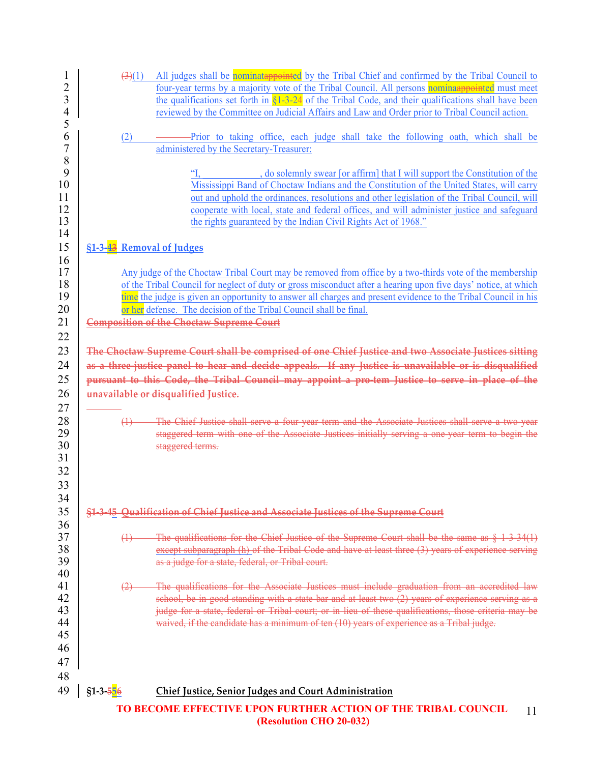| 1<br>$\overline{c}$<br>3<br>$\overline{4}$<br>5 | (3)(1)                    | All judges shall be nominatappointed by the Tribal Chief and confirmed by the Tribal Council to<br>four-year terms by a majority vote of the Tribal Council. All persons nominaappointed must meet<br>the qualifications set forth in $\frac{1}{2}$ -24 of the Tribal Code, and their qualifications shall have been<br>reviewed by the Committee on Judicial Affairs and Law and Order prior to Tribal Council action.                                 |
|-------------------------------------------------|---------------------------|---------------------------------------------------------------------------------------------------------------------------------------------------------------------------------------------------------------------------------------------------------------------------------------------------------------------------------------------------------------------------------------------------------------------------------------------------------|
| 6<br>$\overline{7}$                             | (2)                       | Prior to taking office, each judge shall take the following oath, which shall be<br>administered by the Secretary-Treasurer:                                                                                                                                                                                                                                                                                                                            |
| 8<br>9<br>10<br>11<br>12<br>13<br>14            |                           | do solemnly swear [or affirm] that I will support the Constitution of the<br>$\mathcal{C}$<br>Mississippi Band of Choctaw Indians and the Constitution of the United States, will carry<br>out and uphold the ordinances, resolutions and other legislation of the Tribal Council, will<br>cooperate with local, state and federal offices, and will administer justice and safeguard<br>the rights guaranteed by the Indian Civil Rights Act of 1968." |
| 15<br>16<br>17<br>18                            | §1-3-43 Removal of Judges | Any judge of the Choctaw Tribal Court may be removed from office by a two-thirds vote of the membership<br>of the Tribal Council for neglect of duty or gross misconduct after a hearing upon five days' notice, at which                                                                                                                                                                                                                               |
| 19<br>20<br>21                                  |                           | time the judge is given an opportunity to answer all charges and present evidence to the Tribal Council in his<br>or her defense. The decision of the Tribal Council shall be final.<br><b>Composition of the Choctaw Supreme Court</b>                                                                                                                                                                                                                 |
| 22<br>23<br>24<br>25                            |                           | The Choctaw Supreme Court shall be comprised of one Chief Justice and two Associate Justices sitting<br>as a three-justice panel to hear and decide appeals. If any Justice is unavailable or is disqualified<br>pursuant to this Code, the Tribal Council may appoint a pro-tem Justice to serve in place of the                                                                                                                                       |
| 26<br>27<br>28<br>29<br>30<br>31<br>32          | $\leftrightarrow$         | unavailable or disqualified Justice.<br>The Chief Justice shall serve a four-year term and the Associate Justices shall serve a two-year<br>staggered term with one of the Associate Justices initially serving a one-year term to begin the<br>staggered terms.                                                                                                                                                                                        |
| 33<br>34<br>35                                  |                           | §1-3-45 Qualification of Chief Justice and Associate Justices of the Supreme Court                                                                                                                                                                                                                                                                                                                                                                      |
| 36<br>37<br>38<br>39<br>40                      | $\leftrightarrow$         | The qualifications for the Chief Justice of the Supreme Court shall be the same as $\S$ 1-3-34(1)<br>except subparagraph (h) of the Tribal Code and have at least three (3) years of experience serving<br>as a judge for a state, federal, or Tribal court.                                                                                                                                                                                            |
| 41<br>42<br>43<br>44                            |                           | The qualifications for the Associate Justices must include graduation from an accredited law<br>school, be in good standing with a state bar and at least two (2) years of experience serving as a<br>judge for a state, federal or Tribal court; or in lieu of these qualifications, those criteria may be<br>waived, if the candidate has a minimum of ten (10) years of experience as a Tribal judge.                                                |
| 45<br>46<br>47                                  |                           |                                                                                                                                                                                                                                                                                                                                                                                                                                                         |
| 48<br>49                                        | $$1-3-556$                | Chief Justice, Senior Judges and Court Administration                                                                                                                                                                                                                                                                                                                                                                                                   |
|                                                 |                           | TO BECOME EFFECTIVE UPON FURTHER ACTION OF THE TRIBAL COUNCIL<br>11                                                                                                                                                                                                                                                                                                                                                                                     |

 **(Resolution CHO 20-032)**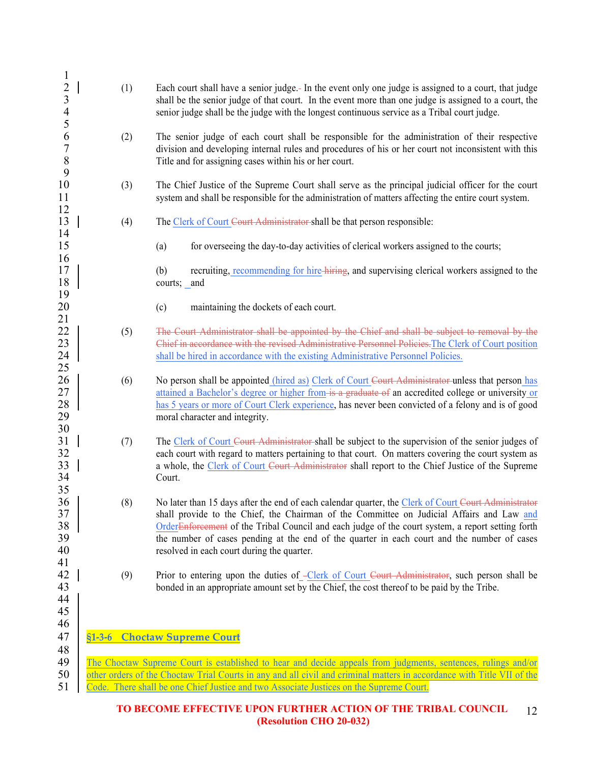| 1<br>$\overline{c}$<br>$\mathfrak{Z}$<br>$\overline{4}$<br>5 | (1) | Each court shall have a senior judge. In the event only one judge is assigned to a court, that judge<br>shall be the senior judge of that court. In the event more than one judge is assigned to a court, the<br>senior judge shall be the judge with the longest continuous service as a Tribal court judge.                                                                                                                                                   |
|--------------------------------------------------------------|-----|-----------------------------------------------------------------------------------------------------------------------------------------------------------------------------------------------------------------------------------------------------------------------------------------------------------------------------------------------------------------------------------------------------------------------------------------------------------------|
| 6<br>$\overline{7}$<br>$\,$ $\,$<br>9                        | (2) | The senior judge of each court shall be responsible for the administration of their respective<br>division and developing internal rules and procedures of his or her court not inconsistent with this<br>Title and for assigning cases within his or her court.                                                                                                                                                                                                |
| 10<br>11<br>12                                               | (3) | The Chief Justice of the Supreme Court shall serve as the principal judicial officer for the court<br>system and shall be responsible for the administration of matters affecting the entire court system.                                                                                                                                                                                                                                                      |
| 13<br>14                                                     | (4) | The Clerk of Court Court Administrator shall be that person responsible:                                                                                                                                                                                                                                                                                                                                                                                        |
| 15                                                           |     | for overseeing the day-to-day activities of clerical workers assigned to the courts;<br>(a)                                                                                                                                                                                                                                                                                                                                                                     |
| 16<br>17<br>18<br>19                                         |     | recruiting, recommending for hire-hiring, and supervising clerical workers assigned to the<br>(b)<br>courts; and                                                                                                                                                                                                                                                                                                                                                |
| 20                                                           |     | (c)<br>maintaining the dockets of each court.                                                                                                                                                                                                                                                                                                                                                                                                                   |
| 21<br>22<br>23<br>24<br>25                                   | (5) | The Court Administrator shall be appointed by the Chief and shall be subject to removal by the<br>Chief in accordance with the revised Administrative Personnel Policies. The Clerk of Court position<br>shall be hired in accordance with the existing Administrative Personnel Policies.                                                                                                                                                                      |
| 26<br>27<br>28<br>29                                         | (6) | No person shall be appointed (hired as) Clerk of Court Court Administrator unless that person has<br>attained a Bachelor's degree or higher from is a graduate of an accredited college or university or<br>has 5 years or more of Court Clerk experience, has never been convicted of a felony and is of good<br>moral character and integrity.                                                                                                                |
| 30<br>31<br>32<br>33<br>34                                   | (7) | The Clerk of Court Court Administrator-shall be subject to the supervision of the senior judges of<br>each court with regard to matters pertaining to that court. On matters covering the court system as<br>a whole, the Clerk of Court Court Administrator shall report to the Chief Justice of the Supreme<br>Court.                                                                                                                                         |
| 35<br>36<br>37<br>38<br>39<br>40                             | (8) | No later than 15 days after the end of each calendar quarter, the Clerk of Court Court Administrator<br>shall provide to the Chief, the Chairman of the Committee on Judicial Affairs and Law and<br>Order <del>Enforcement</del> of the Tribal Council and each judge of the court system, a report setting forth<br>the number of cases pending at the end of the quarter in each court and the number of cases<br>resolved in each court during the quarter. |
| 41<br>42<br>43<br>44<br>45                                   | (9) | Prior to entering upon the duties of -Clerk of Court Court Administrator, such person shall be<br>bonded in an appropriate amount set by the Chief, the cost thereof to be paid by the Tribe.                                                                                                                                                                                                                                                                   |
| 46<br>47                                                     |     | §1-3-6 Choctaw Supreme Court                                                                                                                                                                                                                                                                                                                                                                                                                                    |
| 48<br>49<br>50<br>51                                         |     | The Choctaw Supreme Court is established to hear and decide appeals from judgments, sentences, rulings and/or<br>other orders of the Choctaw Trial Courts in any and all civil and criminal matters in accordance with Title VII of the<br>Code. There shall be one Chief Justice and two Associate Justices on the Supreme Court.                                                                                                                              |
|                                                              |     |                                                                                                                                                                                                                                                                                                                                                                                                                                                                 |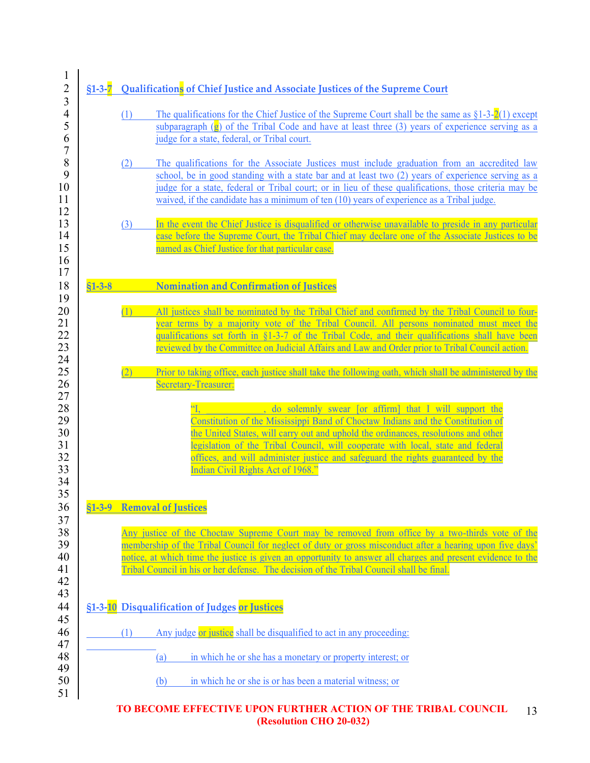|          | (1) | The qualifications for the Chief Justice of the Supreme Court shall be the same as $\S1-3-2(1)$ except<br>subparagraph $(\mathbf{g})$ of the Tribal Code and have at least three (3) years of experience serving as a<br>judge for a state, federal, or Tribal court.                                                                                                                                                                     |
|----------|-----|-------------------------------------------------------------------------------------------------------------------------------------------------------------------------------------------------------------------------------------------------------------------------------------------------------------------------------------------------------------------------------------------------------------------------------------------|
|          | (2) | The qualifications for the Associate Justices must include graduation from an accredited law<br>school, be in good standing with a state bar and at least two (2) years of experience serving as a<br>judge for a state, federal or Tribal court; or in lieu of these qualifications, those criteria may be<br>waived, if the candidate has a minimum of ten (10) years of experience as a Tribal judge.                                  |
|          | (3) | In the event the Chief Justice is disqualified or otherwise unavailable to preside in any particular<br>case before the Supreme Court, the Tribal Chief may declare one of the Associate Justices to be<br>named as Chief Justice for that particular case.                                                                                                                                                                               |
| $$1-3-8$ |     | <b>Nomination and Confirmation of Justices</b>                                                                                                                                                                                                                                                                                                                                                                                            |
|          | (1) | All justices shall be nominated by the Tribal Chief and confirmed by the Tribal Council to four-<br>year terms by a majority vote of the Tribal Council. All persons nominated must meet the<br>qualifications set forth in §1-3-7 of the Tribal Code, and their qualifications shall have been<br>reviewed by the Committee on Judicial Affairs and Law and Order prior to Tribal Council action.                                        |
|          | (2) | Prior to taking office, each justice shall take the following oath, which shall be administered by the<br><b>Secretary-Treasurer:</b>                                                                                                                                                                                                                                                                                                     |
|          |     | do solemnly swear [or affirm] that I will support the<br>Constitution of the Mississippi Band of Choctaw Indians and the Constitution of<br>the United States, will carry out and uphold the ordinances, resolutions and other<br>legislation of the Tribal Council, will cooperate with local, state and federal<br>offices, and will administer justice and safeguard the rights guaranteed by the<br>Indian Civil Rights Act of 1968." |
| $$1-3-9$ |     | <b>Removal of Justices</b>                                                                                                                                                                                                                                                                                                                                                                                                                |
|          |     | Any justice of the Choctaw Supreme Court may be removed from office by a two-thirds vote of the<br>membership of the Tribal Council for neglect of duty or gross misconduct after a hearing upon five days'<br>notice, at which time the justice is given an opportunity to answer all charges and present evidence to the<br>Tribal Council in his or her defense. The decision of the Tribal Council shall be final.                    |
|          |     | §1-3-10 Disqualification of Judges or Justices                                                                                                                                                                                                                                                                                                                                                                                            |
|          | (1) | Any judge or justice shall be disqualified to act in any proceeding:                                                                                                                                                                                                                                                                                                                                                                      |
|          |     | in which he or she has a monetary or property interest; or<br>(a)                                                                                                                                                                                                                                                                                                                                                                         |
|          |     |                                                                                                                                                                                                                                                                                                                                                                                                                                           |

 **(Resolution CHO 20-032)**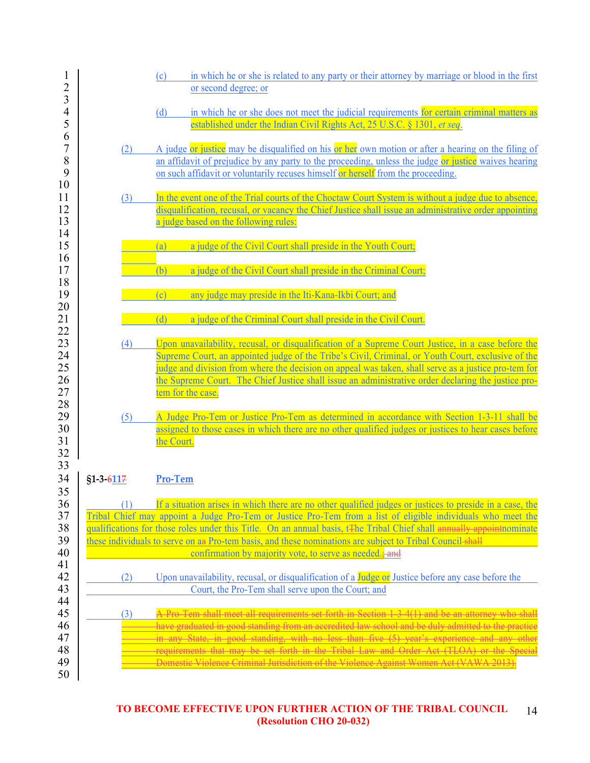| $\mathbf{1}$<br>$\overline{c}$   |             | in which he or she is related to any party or their attorney by marriage or blood in the first<br>(c)<br>or second degree; or                                                                                                                                                                                                                                                                                                                                                                                                          |
|----------------------------------|-------------|----------------------------------------------------------------------------------------------------------------------------------------------------------------------------------------------------------------------------------------------------------------------------------------------------------------------------------------------------------------------------------------------------------------------------------------------------------------------------------------------------------------------------------------|
| 3<br>4<br>5                      |             | in which he or she does not meet the judicial requirements for certain criminal matters as<br>(d)<br>established under the Indian Civil Rights Act, 25 U.S.C. § 1301, et seq.                                                                                                                                                                                                                                                                                                                                                          |
| 6<br>$\boldsymbol{7}$<br>8<br>9  | (2)         | A judge or justice may be disqualified on his or her own motion or after a hearing on the filing of<br>an affidavit of prejudice by any party to the proceeding, unless the judge or justice waives hearing<br>on such affidavit or voluntarily recuses himself or herself from the proceeding.                                                                                                                                                                                                                                        |
| 10<br>11<br>12<br>13<br>14       | (3)         | In the event one of the Trial courts of the Choctaw Court System is without a judge due to absence,<br>disqualification, recusal, or vacancy the Chief Justice shall issue an administrative order appointing<br>a judge based on the following rules:                                                                                                                                                                                                                                                                                 |
| 15<br>16<br>17                   |             | a judge of the Civil Court shall preside in the Youth Court;<br>(a)<br>a judge of the Civil Court shall preside in the Criminal Court;<br>(b)                                                                                                                                                                                                                                                                                                                                                                                          |
| 18<br>19<br>20                   |             | any judge may preside in the Iti-Kana-Ikbi Court; and<br>(c)                                                                                                                                                                                                                                                                                                                                                                                                                                                                           |
| 21<br>22                         |             | a judge of the Criminal Court shall preside in the Civil Court.<br>(d)                                                                                                                                                                                                                                                                                                                                                                                                                                                                 |
| 23<br>24<br>25<br>26<br>27<br>28 | (4)         | Upon unavailability, recusal, or disqualification of a Supreme Court Justice, in a case before the<br>Supreme Court, an appointed judge of the Tribe's Civil, Criminal, or Youth Court, exclusive of the<br>judge and division from where the decision on appeal was taken, shall serve as a justice pro-tem for<br>the Supreme Court. The Chief Justice shall issue an administrative order declaring the justice pro-<br>tem for the case.                                                                                           |
| 29<br>30<br>31<br>32             | (5)         | A Judge Pro-Tem or Justice Pro-Tem as determined in accordance with Section 1-3-11 shall be<br>assigned to those cases in which there are no other qualified judges or justices to hear cases before<br>the Court.                                                                                                                                                                                                                                                                                                                     |
| 33<br>34                         | $$1-3-6117$ | Pro-Tem                                                                                                                                                                                                                                                                                                                                                                                                                                                                                                                                |
| 35<br>36<br>37<br>38<br>39<br>40 | (1)         | If a situation arises in which there are no other qualified judges or justices to preside in a case, the<br>Tribal Chief may appoint a Judge Pro-Tem or Justice Pro-Tem from a list of eligible individuals who meet the<br>qualifications for those roles under this Title. On an annual basis, t <sub>the Tribal</sub> Chief shall annually appoint nominate<br>these individuals to serve on an Pro-tem basis, and these nominations are subject to Tribal Council-shall<br>confirmation by majority vote, to serve as needed.; and |
| 41<br>42<br>43                   | (2)         | Upon unavailability, recusal, or disqualification of a Judge or Justice before any case before the<br>Court, the Pro-Tem shall serve upon the Court; and                                                                                                                                                                                                                                                                                                                                                                               |
| 44<br>45<br>46<br>47<br>48<br>49 | (3)         | A Pro-Tem shall meet all requirements set forth in Section 1-3-4(1) and be an attorney who shall<br>have graduated in good standing from an accredited law school and be duly admitted to the practice<br>in any State, in good standing, with no less than five (5) year's experience and any other<br>requirements that may be set forth in the Tribal Law and Order Act (TLOA) or the Special<br>Domestic Violence Criminal Jurisdiction of the Violence Against Women Act (VAWA 2013).                                             |
| 50                               |             |                                                                                                                                                                                                                                                                                                                                                                                                                                                                                                                                        |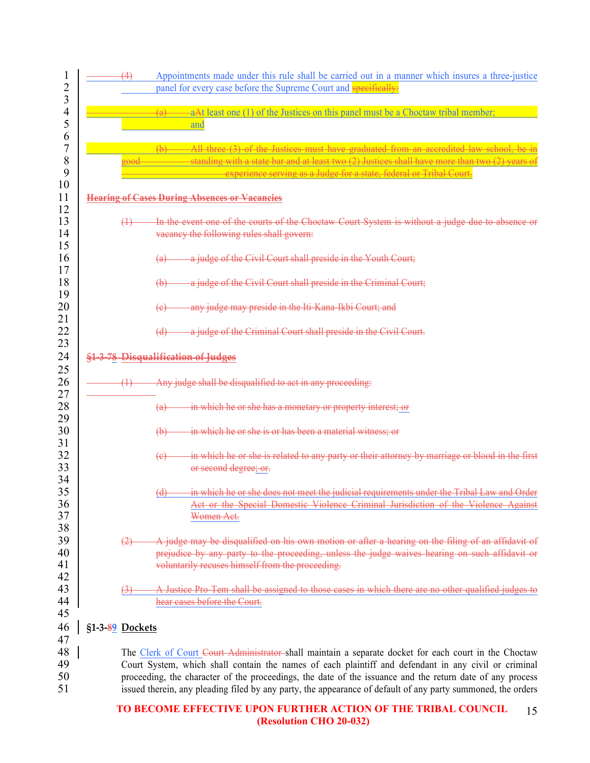| (4)               | Appointments made under this rule shall be carried out in a manner which insures a three-justice<br>panel for every case before the Supreme Court and <b>specifically:</b>                                                                                                                                                                                                                                                                 |
|-------------------|--------------------------------------------------------------------------------------------------------------------------------------------------------------------------------------------------------------------------------------------------------------------------------------------------------------------------------------------------------------------------------------------------------------------------------------------|
|                   | (a)<br>aAt least one (1) of the Justices on this panel must be a Choctaw tribal member;<br>and                                                                                                                                                                                                                                                                                                                                             |
|                   | All three (3) of the Justices must have graduated from an accredited law school be in<br>(h)<br>standing with a state bar and at least two (2) Justices shall have more than two (2) years of<br>experience serving as a Judge for a state, federal or Tribal Court.                                                                                                                                                                       |
|                   | <b>Hearing of Cases During Absences or Vacancies</b>                                                                                                                                                                                                                                                                                                                                                                                       |
| $\leftrightarrow$ | In the event one of the courts of the Choetaw Court System is without a judge due to absence or<br>vacancy the following rules shall govern:                                                                                                                                                                                                                                                                                               |
|                   | a judge of the Civil Court shall preside in the Youth Court;<br><del>(a)</del>                                                                                                                                                                                                                                                                                                                                                             |
|                   | a judge of the Civil Court shall preside in the Criminal Court;<br>(b)                                                                                                                                                                                                                                                                                                                                                                     |
|                   | any judge may preside in the Iti-Kana-Ikbi Court; and<br><del>(e)</del>                                                                                                                                                                                                                                                                                                                                                                    |
|                   | a judge of the Criminal Court shall preside in the Civil Court.<br>$\overline{d}$                                                                                                                                                                                                                                                                                                                                                          |
| $\oplus$          | §1-3-78 Disqualification of Judges<br>Any judge shall be disqualified to act in any proceeding:                                                                                                                                                                                                                                                                                                                                            |
|                   | in which he or she has a monetary or property interest; or<br><del>(a)</del>                                                                                                                                                                                                                                                                                                                                                               |
|                   | in which he or she is or has been a material witness; or<br>$\bigoplus$                                                                                                                                                                                                                                                                                                                                                                    |
|                   | in which he or she is related to any party or their attorney by marriage or blood in the first<br>$\left(\epsilon\right)$<br>or second degree; or.                                                                                                                                                                                                                                                                                         |
|                   | in which he or she does not meet the judicial requirements under the Tribal Law and Order<br>(d)<br>Act or the Special Domestic Violence Criminal Jurisdiction of the Violence Against<br>Women Act.                                                                                                                                                                                                                                       |
|                   | A judge may be disqualified on his own motion or after a hearing on the filing of an affidavit of<br>prejudice by any party to the proceeding, unless the judge waives hearing on such affidavit or<br>voluntarily recuses himself from the proceeding.                                                                                                                                                                                    |
|                   | A Justice Pro-Tem shall be assigned to those cases in which there are no other qualified judges to<br>hear cases before the Court.                                                                                                                                                                                                                                                                                                         |
| §1-3-89 Dockets   |                                                                                                                                                                                                                                                                                                                                                                                                                                            |
|                   | The Clerk of Court Court Administrator shall maintain a separate docket for each court in the Choctaw<br>Court System, which shall contain the names of each plaintiff and defendant in any civil or criminal<br>proceeding, the character of the proceedings, the date of the issuance and the return date of any process<br>issued therein, any pleading filed by any party, the appearance of default of any party summoned, the orders |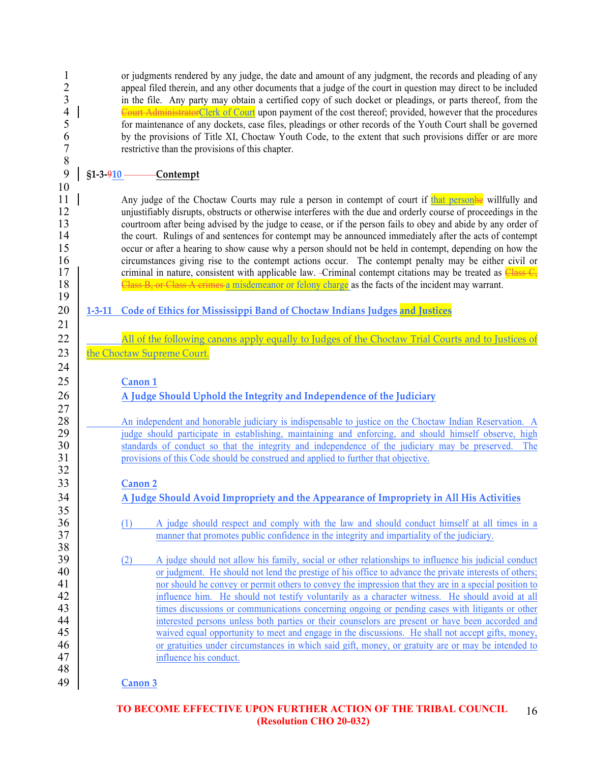1 or judgments rendered by any judge, the date and amount of any judgment, the records and pleading of any<br>2 anneal filed therein and any other documents that a judge of the court in question may direct to be included 2 appeal filed therein, and any other documents that a judge of the court in question may direct to be included<br>3 in the file. Any party may obtain a certified copy of such docket or pleadings, or parts thereof, from the 3 in the file. Any party may obtain a certified copy of such docket or pleadings, or parts thereof, from the  $\frac{3}{4}$ 4 Court AdministratorClerk of Court upon payment of the cost thereof; provided, however that the procedures<br>5 for maintenance of any dockets, case files, pleadings or other records of the Youth Court shall be governed 6 by the provisions of Title XI, Choctaw Youth Code, to the extent that such provisions differ or are more restrictive than the provisions of this chapter. 8

10

19

21

24

 $\frac{27}{28}$ 

32

35

38

48

9 **§1-3-910 Contempt**

restrictive than the provisions of this chapter.

11 Any judge of the Choctaw Courts may rule a person in contempt of court if that persone willfully and 12 unjustifiably disrupts, obstructs or otherwise interferes with the due and orderly course of proceedings in the courtroom after being advised by the judge to cease, or if the person fails to obey and abide by any order 13 courtroom after being advised by the judge to cease, or if the person fails to obey and abide by any order of 14 the court. Rulings of and sentences for contempt may be announced immediately after the acts of contempt 15 occur or after a hearing to show cause why a person should not be held in contempt, depending on how the circumstances giving rise to the contempt actions occur. The contempt penalty may be either civil or 16 circumstances giving rise to the contempt actions occur. The contempt penalty may be either civil or 17 criminal in nature, consistent with applicable law. -Criminal contempt citations may be treated as Class  $C_5$ 18 Class B, or Class A crimes a misdemeanor or felony charge as the facts of the incident may warrant.

5 for maintenance of any dockets, case files, pleadings or other records of the Youth Court shall be governed

- 20 **1-3-11 Code of Ethics for Mississippi Band of Choctaw Indians Judges and Justices**
- 22 All of the following canons apply equally to Judges of the Choctaw Trial Courts and to Justices of 23 the Choctaw Supreme Court.

# 25 **Canon 1**

# 26 **A Judge Should Uphold the Integrity and Independence of the Judiciary**

28 An independent and honorable judiciary is indispensable to justice on the Choctaw Indian Reservation. A<br>29 iudge should participate in establishing, maintaining and enforcing, and should himself observe, high 29 judge should participate in establishing, maintaining and enforcing, and should himself observe, high<br>30 standards of conduct so that the integrity and independence of the judiciary may be preserved. The standards of conduct so that the integrity and independence of the judiciary may be preserved. The 31 provisions of this Code should be construed and applied to further that objective.

# 33 **Canon 2**

34 **A Judge Should Avoid Impropriety and the Appearance of Impropriety in All His Activities**

- 36 (1) A judge should respect and comply with the law and should conduct himself at all times in a manner that promotes public confidence in the integrity and impartiality of the judiciary. manner that promotes public confidence in the integrity and impartiality of the judiciary.
- 39 (2) A judge should not allow his family, social or other relationships to influence his judicial conduct 40 or judgment. He should not lend the prestige of his office to advance the private interests of others;<br>41 or should he convey or permit others to convey the impression that they are in a special position to nor should he convey or permit others to convey the impression that they are in a special position to 12 influence him. He should not testify voluntarily as a character witness. He should avoid at all 43 times discussions or communications concerning ongoing or pending cases with litigants or other<br>44 interested persons unless both parties or their counselors are present or have been accorded and 144 interested persons unless both parties or their counselors are present or have been accorded and<br>15 valued equal opportunity to meet and engage in the discussions. He shall not accept gifts, money waived equal opportunity to meet and engage in the discussions. He shall not accept gifts, money, 46 or gratuities under circumstances in which said gift, money, or gratuity are or may be intended to 47 influence his conduct.

49 **Canon 3**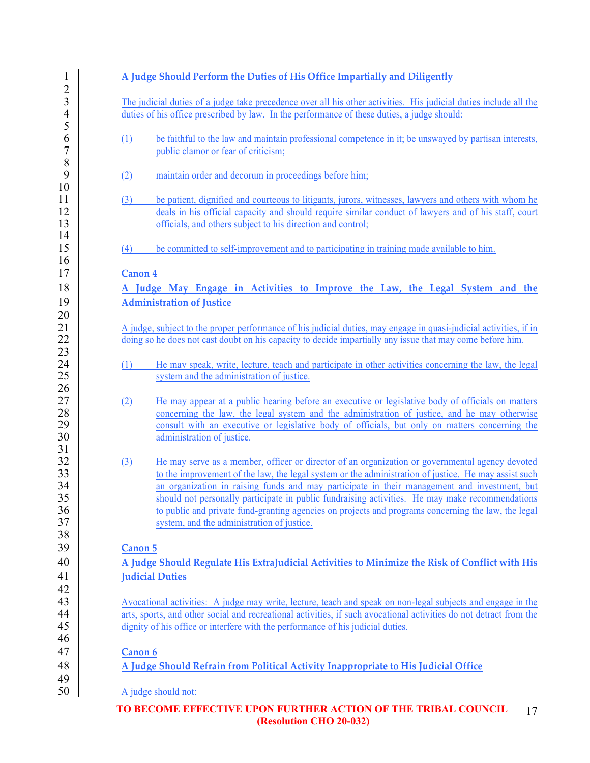| 1                                          | A Judge Should Perform the Duties of His Office Impartially and Diligently                                                                                                                                                                                                                                                                                                                                                                                                                                                                                             |
|--------------------------------------------|------------------------------------------------------------------------------------------------------------------------------------------------------------------------------------------------------------------------------------------------------------------------------------------------------------------------------------------------------------------------------------------------------------------------------------------------------------------------------------------------------------------------------------------------------------------------|
| $\overline{c}$<br>3<br>$\overline{4}$<br>5 | The judicial duties of a judge take precedence over all his other activities. His judicial duties include all the<br>duties of his office prescribed by law. In the performance of these duties, a judge should:                                                                                                                                                                                                                                                                                                                                                       |
| 6<br>$\overline{7}$<br>8                   | (1)<br>be faithful to the law and maintain professional competence in it; be unswayed by partisan interests,<br>public clamor or fear of criticism;                                                                                                                                                                                                                                                                                                                                                                                                                    |
| 9                                          | maintain order and decorum in proceedings before him;<br>(2)                                                                                                                                                                                                                                                                                                                                                                                                                                                                                                           |
| 10<br>11<br>12<br>13                       | (3)<br>be patient, dignified and courteous to litigants, jurors, witnesses, lawyers and others with whom he<br>deals in his official capacity and should require similar conduct of lawyers and of his staff, court<br>officials, and others subject to his direction and control;                                                                                                                                                                                                                                                                                     |
| 14<br>15                                   | be committed to self-improvement and to participating in training made available to him.<br>(4)                                                                                                                                                                                                                                                                                                                                                                                                                                                                        |
| 16<br>17                                   | <b>Canon 4</b>                                                                                                                                                                                                                                                                                                                                                                                                                                                                                                                                                         |
| 18                                         | A Judge May Engage in Activities to Improve the Law, the Legal System and the                                                                                                                                                                                                                                                                                                                                                                                                                                                                                          |
| 19<br>20                                   | <b>Administration of Justice</b>                                                                                                                                                                                                                                                                                                                                                                                                                                                                                                                                       |
| 21<br>22<br>23                             | A judge, subject to the proper performance of his judicial duties, may engage in quasi-judicial activities, if in<br>doing so he does not cast doubt on his capacity to decide impartially any issue that may come before him.                                                                                                                                                                                                                                                                                                                                         |
| 24<br>25<br>26                             | (1)<br>He may speak, write, lecture, teach and participate in other activities concerning the law, the legal<br>system and the administration of justice.                                                                                                                                                                                                                                                                                                                                                                                                              |
| 27<br>28<br>29<br>30                       | He may appear at a public hearing before an executive or legislative body of officials on matters<br>(2)<br>concerning the law, the legal system and the administration of justice, and he may otherwise<br>consult with an executive or legislative body of officials, but only on matters concerning the<br>administration of justice.                                                                                                                                                                                                                               |
| 31<br>32<br>33<br>34<br>35<br>36<br>37     | He may serve as a member, officer or director of an organization or governmental agency devoted<br>(3)<br>to the improvement of the law, the legal system or the administration of justice. He may assist such<br>an organization in raising funds and may participate in their management and investment, but<br>should not personally participate in public fundraising activities. He may make recommendations<br>to public and private fund-granting agencies on projects and programs concerning the law, the legal<br>system, and the administration of justice. |
| 38<br>39                                   | Canon 5                                                                                                                                                                                                                                                                                                                                                                                                                                                                                                                                                                |
| 40<br>41                                   | A Judge Should Regulate His ExtraJudicial Activities to Minimize the Risk of Conflict with His<br><b>Judicial Duties</b>                                                                                                                                                                                                                                                                                                                                                                                                                                               |
| 42<br>43<br>44<br>45                       | Avocational activities: A judge may write, lecture, teach and speak on non-legal subjects and engage in the<br>arts, sports, and other social and recreational activities, if such avocational activities do not detract from the<br>dignity of his office or interfere with the performance of his judicial duties.                                                                                                                                                                                                                                                   |
| 46<br>47                                   | Canon 6                                                                                                                                                                                                                                                                                                                                                                                                                                                                                                                                                                |
| 48                                         | A Judge Should Refrain from Political Activity Inappropriate to His Judicial Office                                                                                                                                                                                                                                                                                                                                                                                                                                                                                    |
| 49<br>50                                   | A judge should not:                                                                                                                                                                                                                                                                                                                                                                                                                                                                                                                                                    |
|                                            | TO BECOME EFFECTIVE UPON FURTHER ACTION OF THE TRIBAL COUNCIL<br>17                                                                                                                                                                                                                                                                                                                                                                                                                                                                                                    |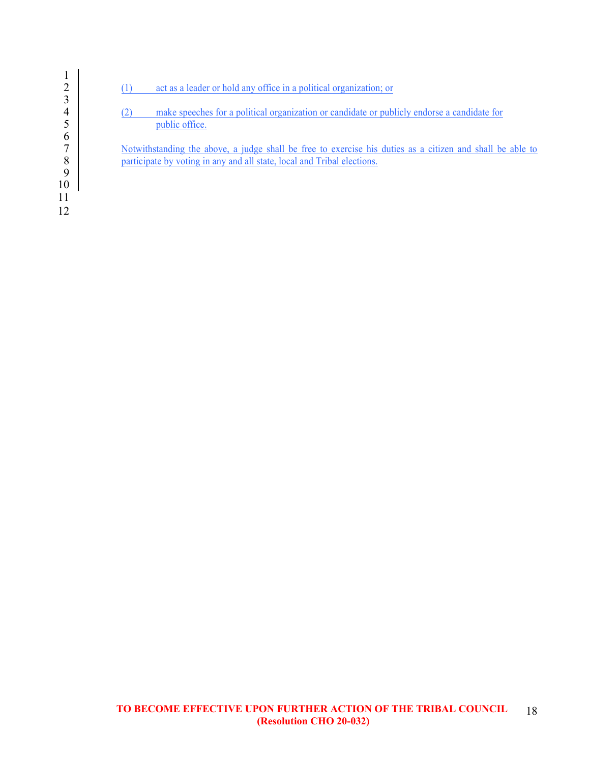

| $\overline{2}$<br>act as a leader or hold any office in a political organization; or |  |
|--------------------------------------------------------------------------------------|--|
|--------------------------------------------------------------------------------------|--|

4 (2) make speeches for a political organization or candidate or publicly endorse a candidate for public office. public office.

7 Notwithstanding the above, a judge shall be free to exercise his duties as a citizen and shall be able to participate by voting in any and all state, local and Tribal elections. participate by voting in any and all state, local and Tribal elections.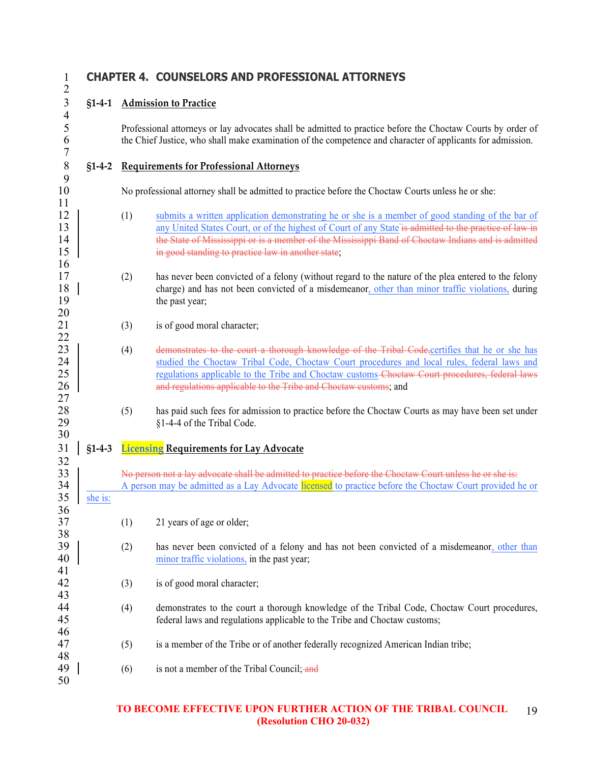$\frac{4}{5}$ 

7

 $\frac{9}{10}$ 

11

16

 $\frac{20}{21}$ 

 $\frac{22}{23}$ 

27

30

 $\frac{32}{33}$ 

36

38

41

46

50

# 1 **CHAPTER 4. COUNSELORS AND PROFESSIONAL ATTORNEYS**

# 3 **§1-4-1 Admission to Practice**

5 Professional attorneys or lay advocates shall be admitted to practice before the Choctaw Courts by order of the Chief Justice, who shall make examination of the competence and character of applicants for admission. 6 the Chief Justice, who shall make examination of the competence and character of applicants for admission.

# 8 **§1-4-2 Requirements for Professional Attorneys**

10 No professional attorney shall be admitted to practice before the Choctaw Courts unless he or she:

- 12 (1) submits a written application demonstrating he or she is a member of good standing of the bar of 13 any United States Court, or of the highest of Court of any State is admitted to the practice of law in 14 **the State of Mississippi or is a member of the Mississippi Band of Choctaw Indians and is admitted** 15 **in good standing to practice law in another state**;
- 17 (2) has never been convicted of a felony (without regard to the nature of the plea entered to the felony 18 charge) and has not been convicted of a misdemeanor, other than minor traffic violations, during 19 the past year;
	- $(3)$  is of good moral character;
- (4) demonstrates to the court a thorough knowledge of the Tribal Code, certifies that he or she has 24 Studied the Choctaw Tribal Code, Choctaw Court procedures and local rules, federal laws and 25 **Property and Chocker and Chocker Chocker Court Expedience** Court procedures, federal laws 26 **and regulations applicable to the Tribe and Choctaw customs; and**
- 28 (5) has paid such fees for admission to practice before the Choctaw Courts as may have been set under 29  $\frac{81-4-4}{9}$  of the Tribal Code 29 §1-4-4 of the Tribal Code.

# 31 **§1-4-3 Licensing Requirements for Lay Advocate**

No person not a lay advocate shall be admitted to practice before the Choctaw Court unless he or she is: 34 A person may be admitted as a Lay Advocate licensed to practice before the Choctaw Court provided he or 35 she is:

- 37 (1) 21 years of age or older;
- 39 (2) has never been convicted of a felony and has not been convicted of a misdemeanor, other than 40 minor traffic violations, in the past year;
- 42 (3) is of good moral character; 43
- 44 (4) demonstrates to the court a thorough knowledge of the Tribal Code, Choctaw Court procedures, 45 federal laws and regulations applicable to the Tribe and Choctaw customs;
- 47 (5) is a member of the Tribe or of another federally recognized American Indian tribe;
- 48<br>49  $(6)$  is not a member of the Tribal Council; and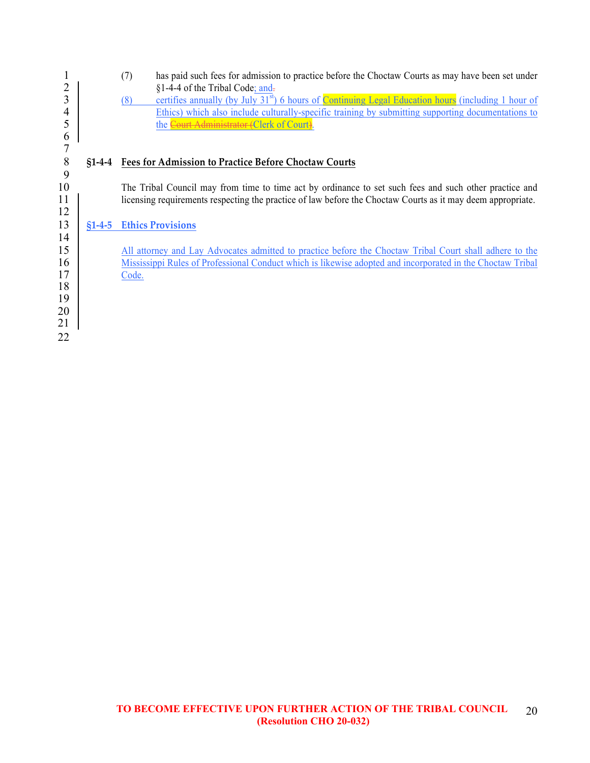| 2<br>3<br>4<br>5<br>6 |          | has paid such fees for admission to practice before the Choctaw Courts as may have been set under<br>(7)<br>§1-4-4 of the Tribal Code; and-<br>certifies annually (by July 31 <sup>st</sup> ) 6 hours of Continuing Legal Education hours (including 1 hour of<br>(8)<br>Ethics) which also include culturally-specific training by submitting supporting documentations to<br>the Court Administrator (Clerk of Court). |
|-----------------------|----------|--------------------------------------------------------------------------------------------------------------------------------------------------------------------------------------------------------------------------------------------------------------------------------------------------------------------------------------------------------------------------------------------------------------------------|
| 7                     |          |                                                                                                                                                                                                                                                                                                                                                                                                                          |
| 8                     | $$1-4-4$ | <b>Fees for Admission to Practice Before Choctaw Courts</b>                                                                                                                                                                                                                                                                                                                                                              |
| 9                     |          |                                                                                                                                                                                                                                                                                                                                                                                                                          |
| 10                    |          | The Tribal Council may from time to time act by ordinance to set such fees and such other practice and                                                                                                                                                                                                                                                                                                                   |
| 11                    |          | licensing requirements respecting the practice of law before the Choctaw Courts as it may deem appropriate.                                                                                                                                                                                                                                                                                                              |
| 12                    |          |                                                                                                                                                                                                                                                                                                                                                                                                                          |
| 13                    | $$1-4-5$ | <b>Ethics Provisions</b>                                                                                                                                                                                                                                                                                                                                                                                                 |
| 14                    |          |                                                                                                                                                                                                                                                                                                                                                                                                                          |
| 15                    |          | All attorney and Lay Advocates admitted to practice before the Choctaw Tribal Court shall adhere to the                                                                                                                                                                                                                                                                                                                  |
| 16                    |          | Mississippi Rules of Professional Conduct which is likewise adopted and incorporated in the Choctaw Tribal                                                                                                                                                                                                                                                                                                               |
| 17                    |          | Code.                                                                                                                                                                                                                                                                                                                                                                                                                    |
| 18                    |          |                                                                                                                                                                                                                                                                                                                                                                                                                          |
| 19                    |          |                                                                                                                                                                                                                                                                                                                                                                                                                          |
| 20                    |          |                                                                                                                                                                                                                                                                                                                                                                                                                          |
| 21                    |          |                                                                                                                                                                                                                                                                                                                                                                                                                          |
| 22                    |          |                                                                                                                                                                                                                                                                                                                                                                                                                          |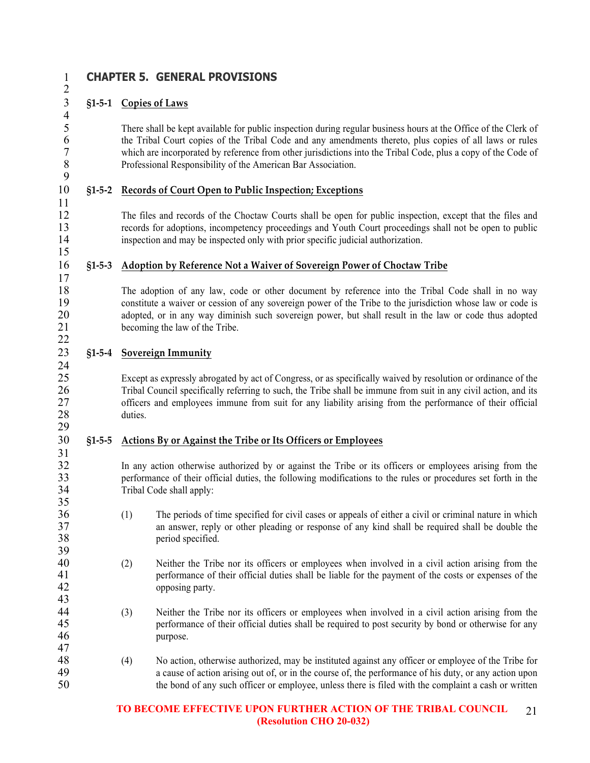$\frac{4}{5}$ 

9

11

15

17

22

29

35

39

43

# 1 **CHAPTER 5. GENERAL PROVISIONS**

# 3 **§1-5-1 Copies of Laws**

5 There shall be kept available for public inspection during regular business hours at the Office of the Clerk of the Tribal Court copies of the Tribal Code and any amendments thereto, plus copies of all laws or rules 6 the Tribal Court copies of the Tribal Code and any amendments thereto, plus copies of all laws or rules<br>7 which are incorporated by reference from other iurisdictions into the Tribal Code, plus a copy of the Code of 7 which are incorporated by reference from other jurisdictions into the Tribal Code, plus a copy of the Code of Professional Responsibility of the American Bar Association. 8 Professional Responsibility of the American Bar Association.

# 10 **§1-5-2 Records of Court Open to Public Inspection; Exceptions**

12 The files and records of the Choctaw Courts shall be open for public inspection, except that the files and 13 records for adoptions, incompetency proceedings and Youth Court proceedings shall not be open to public<br>14 inspection and may be inspected only with prior specific indicial authorization inspection and may be inspected only with prior specific judicial authorization.

# 16 **§1-5-3 Adoption by Reference Not a Waiver of Sovereign Power of Choctaw Tribe**

18 The adoption of any law, code or other document by reference into the Tribal Code shall in no way<br>19 constitute a waiver or cession of any sovereign power of the Tribe to the jurisdiction whose law or code is 19 constitute a waiver or cession of any sovereign power of the Tribe to the jurisdiction whose law or code is<br>20 adopted or in any way diminish such sovereign power but shall result in the law or code thus adopted adopted, or in any way diminish such sovereign power, but shall result in the law or code thus adopted 21 becoming the law of the Tribe.

# 23 **§1-5-4 Sovereign Immunity**  $\frac{24}{25}$

Except as expressly abrogated by act of Congress, or as specifically waived by resolution or ordinance of the 26 Tribal Council specifically referring to such, the Tribe shall be immune from suit in any civil action, and its officers and employees immune from suit for any liability arising from the performance of their official 27 officers and employees immune from suit for any liability arising from the performance of their official duties. duties.

#### 30 **§1-5-5 Actions By or Against the Tribe or Its Officers or Employees** 31

32 In any action otherwise authorized by or against the Tribe or its officers or employees arising from the performance of their official duties, the following modifications to the rules or procedures set forth in the 33 performance of their official duties, the following modifications to the rules or procedures set forth in the Tribal Code shall apply: Tribal Code shall apply:

- 36 (1) The periods of time specified for civil cases or appeals of either a civil or criminal nature in which 37 an answer, reply or other pleading or response of any kind shall be required shall be double the 38 period specified.
- 40 (2) Neither the Tribe nor its officers or employees when involved in a civil action arising from the performance of their official duties shall be liable for the navment of the costs or expenses of the 41 performance of their official duties shall be liable for the payment of the costs or expenses of the 42 opposing party.
- 44 (3) Neither the Tribe nor its officers or employees when involved in a civil action arising from the 45 performance of their official duties shall be required to post security by bond or otherwise for any purpose. purpose. 47
- 48 (4) No action, otherwise authorized, may be instituted against any officer or employee of the Tribe for 49 a cause of action arising out of, or in the course of, the performance of his duty, or any action upon 50 the bond of any such officer or employee, unless there is filed with the complaint a cash or written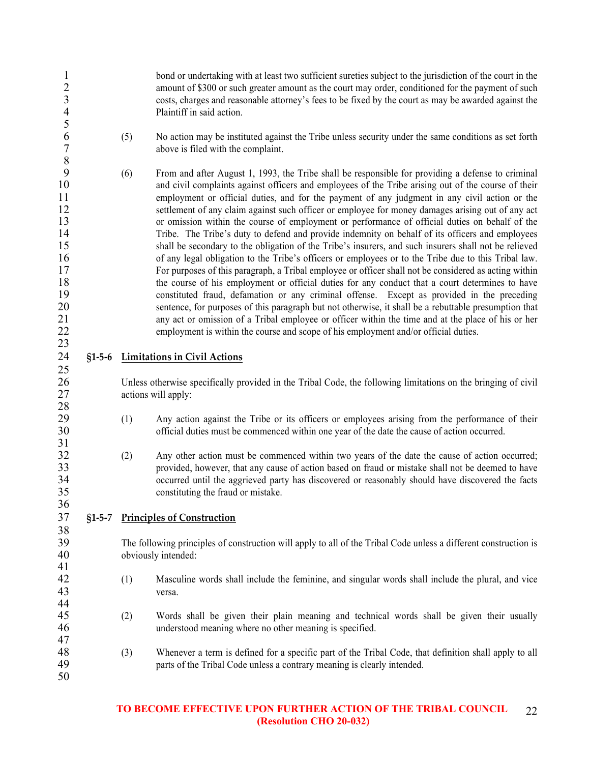| $\mathbf{1}$<br>$\overline{c}$<br>$\overline{\mathbf{3}}$<br>$\overline{4}$<br>5          |          |     | bond or undertaking with at least two sufficient sureties subject to the jurisdiction of the court in the<br>amount of \$300 or such greater amount as the court may order, conditioned for the payment of such<br>costs, charges and reasonable attorney's fees to be fixed by the court as may be awarded against the<br>Plaintiff in said action.                                                                                                                                                                                                                                                                                                                                                                                                                                                                                                                                                                                                                                                                                                                                                                                                                                                                                                                                                                                                                                                                                                 |
|-------------------------------------------------------------------------------------------|----------|-----|------------------------------------------------------------------------------------------------------------------------------------------------------------------------------------------------------------------------------------------------------------------------------------------------------------------------------------------------------------------------------------------------------------------------------------------------------------------------------------------------------------------------------------------------------------------------------------------------------------------------------------------------------------------------------------------------------------------------------------------------------------------------------------------------------------------------------------------------------------------------------------------------------------------------------------------------------------------------------------------------------------------------------------------------------------------------------------------------------------------------------------------------------------------------------------------------------------------------------------------------------------------------------------------------------------------------------------------------------------------------------------------------------------------------------------------------------|
| $\boldsymbol{6}$<br>$\sqrt{ }$<br>$\,$ 8 $\,$                                             |          | (5) | No action may be instituted against the Tribe unless security under the same conditions as set forth<br>above is filed with the complaint.                                                                                                                                                                                                                                                                                                                                                                                                                                                                                                                                                                                                                                                                                                                                                                                                                                                                                                                                                                                                                                                                                                                                                                                                                                                                                                           |
| 9<br>$10\,$<br>11<br>12<br>13<br>14<br>15<br>16<br>17<br>18<br>19<br>20<br>21<br>22<br>23 |          | (6) | From and after August 1, 1993, the Tribe shall be responsible for providing a defense to criminal<br>and civil complaints against officers and employees of the Tribe arising out of the course of their<br>employment or official duties, and for the payment of any judgment in any civil action or the<br>settlement of any claim against such officer or employee for money damages arising out of any act<br>or omission within the course of employment or performance of official duties on behalf of the<br>Tribe. The Tribe's duty to defend and provide indemnity on behalf of its officers and employees<br>shall be secondary to the obligation of the Tribe's insurers, and such insurers shall not be relieved<br>of any legal obligation to the Tribe's officers or employees or to the Tribe due to this Tribal law.<br>For purposes of this paragraph, a Tribal employee or officer shall not be considered as acting within<br>the course of his employment or official duties for any conduct that a court determines to have<br>constituted fraud, defamation or any criminal offense. Except as provided in the preceding<br>sentence, for purposes of this paragraph but not otherwise, it shall be a rebuttable presumption that<br>any act or omission of a Tribal employee or officer within the time and at the place of his or her<br>employment is within the course and scope of his employment and/or official duties. |
| 24                                                                                        | $$1-5-6$ |     | <b>Limitations in Civil Actions</b>                                                                                                                                                                                                                                                                                                                                                                                                                                                                                                                                                                                                                                                                                                                                                                                                                                                                                                                                                                                                                                                                                                                                                                                                                                                                                                                                                                                                                  |
| 25<br>26<br>27                                                                            |          |     | Unless otherwise specifically provided in the Tribal Code, the following limitations on the bringing of civil<br>actions will apply:                                                                                                                                                                                                                                                                                                                                                                                                                                                                                                                                                                                                                                                                                                                                                                                                                                                                                                                                                                                                                                                                                                                                                                                                                                                                                                                 |
| 28<br>29<br>30<br>31                                                                      |          | (1) | Any action against the Tribe or its officers or employees arising from the performance of their<br>official duties must be commenced within one year of the date the cause of action occurred.                                                                                                                                                                                                                                                                                                                                                                                                                                                                                                                                                                                                                                                                                                                                                                                                                                                                                                                                                                                                                                                                                                                                                                                                                                                       |
| 32<br>33<br>34<br>35                                                                      |          | (2) | Any other action must be commenced within two years of the date the cause of action occurred;<br>provided, however, that any cause of action based on fraud or mistake shall not be deemed to have<br>occurred until the aggrieved party has discovered or reasonably should have discovered the facts<br>constituting the fraud or mistake.                                                                                                                                                                                                                                                                                                                                                                                                                                                                                                                                                                                                                                                                                                                                                                                                                                                                                                                                                                                                                                                                                                         |
| 36<br>37                                                                                  | $$1-5-7$ |     | <b>Principles of Construction</b>                                                                                                                                                                                                                                                                                                                                                                                                                                                                                                                                                                                                                                                                                                                                                                                                                                                                                                                                                                                                                                                                                                                                                                                                                                                                                                                                                                                                                    |
| 38<br>39<br>40                                                                            |          |     | The following principles of construction will apply to all of the Tribal Code unless a different construction is<br>obviously intended:                                                                                                                                                                                                                                                                                                                                                                                                                                                                                                                                                                                                                                                                                                                                                                                                                                                                                                                                                                                                                                                                                                                                                                                                                                                                                                              |
| 41<br>42<br>43<br>44                                                                      |          | (1) | Masculine words shall include the feminine, and singular words shall include the plural, and vice<br>versa.                                                                                                                                                                                                                                                                                                                                                                                                                                                                                                                                                                                                                                                                                                                                                                                                                                                                                                                                                                                                                                                                                                                                                                                                                                                                                                                                          |
| 45<br>46<br>47                                                                            |          | (2) | Words shall be given their plain meaning and technical words shall be given their usually<br>understood meaning where no other meaning is specified.                                                                                                                                                                                                                                                                                                                                                                                                                                                                                                                                                                                                                                                                                                                                                                                                                                                                                                                                                                                                                                                                                                                                                                                                                                                                                                 |
| 48<br>49<br>50                                                                            |          | (3) | Whenever a term is defined for a specific part of the Tribal Code, that definition shall apply to all<br>parts of the Tribal Code unless a contrary meaning is clearly intended.                                                                                                                                                                                                                                                                                                                                                                                                                                                                                                                                                                                                                                                                                                                                                                                                                                                                                                                                                                                                                                                                                                                                                                                                                                                                     |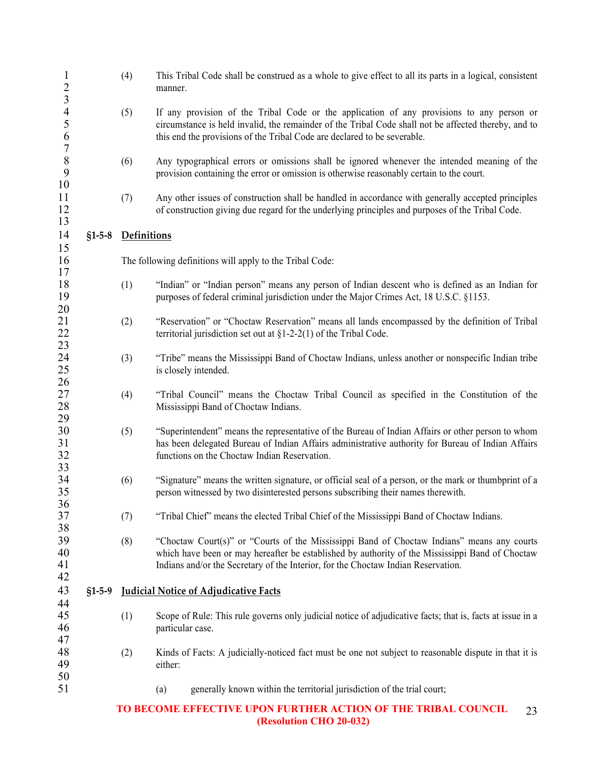| $\mathbf{1}$<br>$\overline{c}$                               |          | (4)         | This Tribal Code shall be construed as a whole to give effect to all its parts in a logical, consistent<br>manner.                                                                                                                                                                 |
|--------------------------------------------------------------|----------|-------------|------------------------------------------------------------------------------------------------------------------------------------------------------------------------------------------------------------------------------------------------------------------------------------|
| $\mathfrak{Z}$<br>$\overline{4}$<br>5<br>6<br>$\overline{7}$ |          | (5)         | If any provision of the Tribal Code or the application of any provisions to any person or<br>circumstance is held invalid, the remainder of the Tribal Code shall not be affected thereby, and to<br>this end the provisions of the Tribal Code are declared to be severable.      |
| $\,$ $\,$<br>9<br>10                                         |          | (6)         | Any typographical errors or omissions shall be ignored whenever the intended meaning of the<br>provision containing the error or omission is otherwise reasonably certain to the court.                                                                                            |
| 11<br>12<br>13                                               |          | (7)         | Any other issues of construction shall be handled in accordance with generally accepted principles<br>of construction giving due regard for the underlying principles and purposes of the Tribal Code.                                                                             |
| 14                                                           | $$1-5-8$ | Definitions |                                                                                                                                                                                                                                                                                    |
| 15<br>16<br>17                                               |          |             | The following definitions will apply to the Tribal Code:                                                                                                                                                                                                                           |
| 18<br>19<br>20                                               |          | (1)         | "Indian" or "Indian person" means any person of Indian descent who is defined as an Indian for<br>purposes of federal criminal jurisdiction under the Major Crimes Act, 18 U.S.C. §1153.                                                                                           |
| 21<br>22<br>23                                               |          | (2)         | "Reservation" or "Choctaw Reservation" means all lands encompassed by the definition of Tribal<br>territorial jurisdiction set out at $\S1-2-2(1)$ of the Tribal Code.                                                                                                             |
| 24<br>25                                                     |          | (3)         | "Tribe" means the Mississippi Band of Choctaw Indians, unless another or nonspecific Indian tribe<br>is closely intended.                                                                                                                                                          |
| 26<br>27<br>28<br>29                                         |          | (4)         | "Tribal Council" means the Choctaw Tribal Council as specified in the Constitution of the<br>Mississippi Band of Choctaw Indians.                                                                                                                                                  |
| 30<br>31<br>32<br>33                                         |          | (5)         | "Superintendent" means the representative of the Bureau of Indian Affairs or other person to whom<br>has been delegated Bureau of Indian Affairs administrative authority for Bureau of Indian Affairs<br>functions on the Choctaw Indian Reservation.                             |
| 34<br>35                                                     |          | (6)         | "Signature" means the written signature, or official seal of a person, or the mark or thumbprint of a<br>person witnessed by two disinterested persons subscribing their names therewith.                                                                                          |
| 36<br>37                                                     |          | (7)         | "Tribal Chief" means the elected Tribal Chief of the Mississippi Band of Choctaw Indians.                                                                                                                                                                                          |
| 38<br>39<br>40<br>41<br>42                                   |          | (8)         | "Choctaw Court(s)" or "Courts of the Mississippi Band of Choctaw Indians" means any courts<br>which have been or may hereafter be established by authority of the Mississippi Band of Choctaw<br>Indians and/or the Secretary of the Interior, for the Choctaw Indian Reservation. |
| 43                                                           | $$1-5-9$ |             | <b>Judicial Notice of Adjudicative Facts</b>                                                                                                                                                                                                                                       |
| 44<br>45<br>46                                               |          | (1)         | Scope of Rule: This rule governs only judicial notice of adjudicative facts; that is, facts at issue in a<br>particular case.                                                                                                                                                      |
| 47<br>48<br>49                                               |          | (2)         | Kinds of Facts: A judicially-noticed fact must be one not subject to reasonable dispute in that it is<br>either:                                                                                                                                                                   |
| 50<br>51                                                     |          |             | generally known within the territorial jurisdiction of the trial court;<br>(a)                                                                                                                                                                                                     |
|                                                              |          |             | TO BECOME EFFECTIVE UPON FURTHER ACTION OF THE TRIBAL COUNCIL<br>23                                                                                                                                                                                                                |

 **(Resolution CHO 20-032)**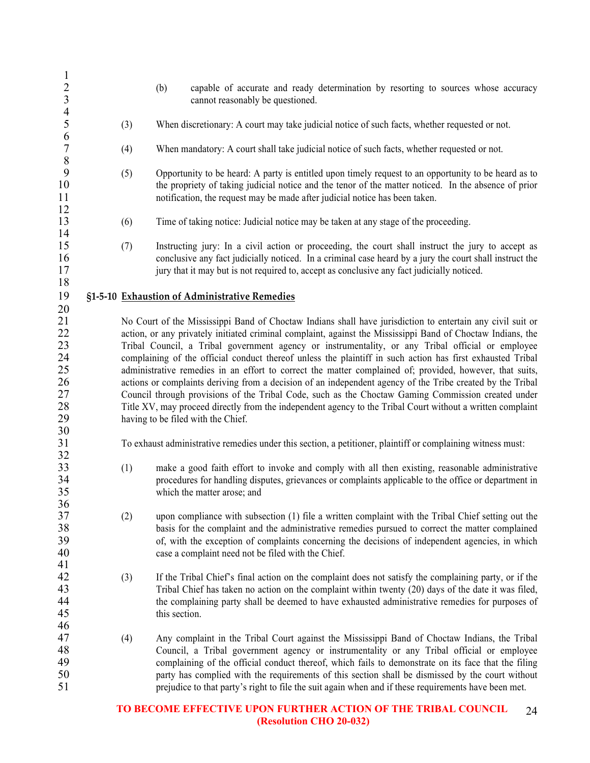| $\mathbf{1}$                                 |     |                                                                                                                                                                                                                                                                                                                                                                                                                                                                                                                                                                                                                                                                                                                                                                              |
|----------------------------------------------|-----|------------------------------------------------------------------------------------------------------------------------------------------------------------------------------------------------------------------------------------------------------------------------------------------------------------------------------------------------------------------------------------------------------------------------------------------------------------------------------------------------------------------------------------------------------------------------------------------------------------------------------------------------------------------------------------------------------------------------------------------------------------------------------|
| $\frac{2}{3}$                                |     | (b)<br>capable of accurate and ready determination by resorting to sources whose accuracy                                                                                                                                                                                                                                                                                                                                                                                                                                                                                                                                                                                                                                                                                    |
| $\overline{4}$                               |     | cannot reasonably be questioned.                                                                                                                                                                                                                                                                                                                                                                                                                                                                                                                                                                                                                                                                                                                                             |
| 5<br>6                                       | (3) | When discretionary: A court may take judicial notice of such facts, whether requested or not.                                                                                                                                                                                                                                                                                                                                                                                                                                                                                                                                                                                                                                                                                |
| $\overline{7}$<br>$\,8\,$                    | (4) | When mandatory: A court shall take judicial notice of such facts, whether requested or not.                                                                                                                                                                                                                                                                                                                                                                                                                                                                                                                                                                                                                                                                                  |
| 9<br>10<br>11<br>12                          | (5) | Opportunity to be heard: A party is entitled upon timely request to an opportunity to be heard as to<br>the propriety of taking judicial notice and the tenor of the matter noticed. In the absence of prior<br>notification, the request may be made after judicial notice has been taken.                                                                                                                                                                                                                                                                                                                                                                                                                                                                                  |
| 13<br>14                                     | (6) | Time of taking notice: Judicial notice may be taken at any stage of the proceeding.                                                                                                                                                                                                                                                                                                                                                                                                                                                                                                                                                                                                                                                                                          |
| 15<br>16<br>17<br>18                         | (7) | Instructing jury: In a civil action or proceeding, the court shall instruct the jury to accept as<br>conclusive any fact judicially noticed. In a criminal case heard by a jury the court shall instruct the<br>jury that it may but is not required to, accept as conclusive any fact judicially noticed.                                                                                                                                                                                                                                                                                                                                                                                                                                                                   |
| 19                                           |     | §1-5-10 Exhaustion of Administrative Remedies                                                                                                                                                                                                                                                                                                                                                                                                                                                                                                                                                                                                                                                                                                                                |
| 20<br>21<br>22<br>23<br>24<br>25<br>26<br>27 |     | No Court of the Mississippi Band of Choctaw Indians shall have jurisdiction to entertain any civil suit or<br>action, or any privately initiated criminal complaint, against the Mississippi Band of Choctaw Indians, the<br>Tribal Council, a Tribal government agency or instrumentality, or any Tribal official or employee<br>complaining of the official conduct thereof unless the plaintiff in such action has first exhausted Tribal<br>administrative remedies in an effort to correct the matter complained of; provided, however, that suits,<br>actions or complaints deriving from a decision of an independent agency of the Tribe created by the Tribal<br>Council through provisions of the Tribal Code, such as the Choctaw Gaming Commission created under |
| 28<br>29                                     |     | Title XV, may proceed directly from the independent agency to the Tribal Court without a written complaint<br>having to be filed with the Chief.                                                                                                                                                                                                                                                                                                                                                                                                                                                                                                                                                                                                                             |
| 30<br>31                                     |     | To exhaust administrative remedies under this section, a petitioner, plaintiff or complaining witness must:                                                                                                                                                                                                                                                                                                                                                                                                                                                                                                                                                                                                                                                                  |
| 32<br>33<br>34<br>35<br>36                   | (1) | make a good faith effort to invoke and comply with all then existing, reasonable administrative<br>procedures for handling disputes, grievances or complaints applicable to the office or department in<br>which the matter arose; and                                                                                                                                                                                                                                                                                                                                                                                                                                                                                                                                       |
| 37<br>38<br>39<br>40                         | (2) | upon compliance with subsection (1) file a written complaint with the Tribal Chief setting out the<br>basis for the complaint and the administrative remedies pursued to correct the matter complained<br>of, with the exception of complaints concerning the decisions of independent agencies, in which<br>case a complaint need not be filed with the Chief.                                                                                                                                                                                                                                                                                                                                                                                                              |
| 41<br>42<br>43<br>44<br>45                   | (3) | If the Tribal Chief's final action on the complaint does not satisfy the complaining party, or if the<br>Tribal Chief has taken no action on the complaint within twenty (20) days of the date it was filed,<br>the complaining party shall be deemed to have exhausted administrative remedies for purposes of<br>this section.                                                                                                                                                                                                                                                                                                                                                                                                                                             |
| 46<br>47<br>48<br>49<br>50<br>51             | (4) | Any complaint in the Tribal Court against the Mississippi Band of Choctaw Indians, the Tribal<br>Council, a Tribal government agency or instrumentality or any Tribal official or employee<br>complaining of the official conduct thereof, which fails to demonstrate on its face that the filing<br>party has complied with the requirements of this section shall be dismissed by the court without<br>prejudice to that party's right to file the suit again when and if these requirements have been met.                                                                                                                                                                                                                                                                |
|                                              |     |                                                                                                                                                                                                                                                                                                                                                                                                                                                                                                                                                                                                                                                                                                                                                                              |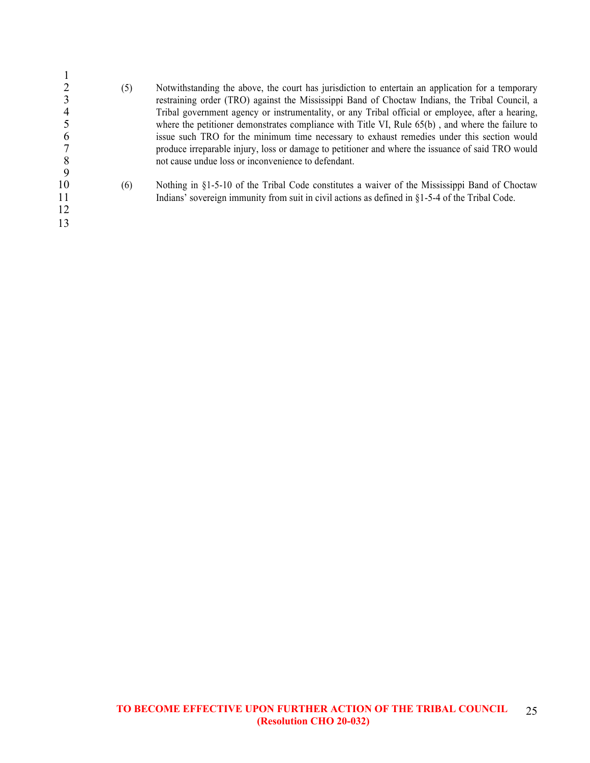| 8                    | (5) | Notwithstanding the above, the court has jurisdiction to entertain an application for a temporary<br>restraining order (TRO) against the Mississippi Band of Choctaw Indians, the Tribal Council, a<br>Tribal government agency or instrumentality, or any Tribal official or employee, after a hearing,<br>where the petitioner demonstrates compliance with Title VI, Rule $65(b)$ , and where the failure to<br>issue such TRO for the minimum time necessary to exhaust remedies under this section would<br>produce irreparable injury, loss or damage to petitioner and where the issuance of said TRO would<br>not cause undue loss or inconvenience to defendant. |
|----------------------|-----|---------------------------------------------------------------------------------------------------------------------------------------------------------------------------------------------------------------------------------------------------------------------------------------------------------------------------------------------------------------------------------------------------------------------------------------------------------------------------------------------------------------------------------------------------------------------------------------------------------------------------------------------------------------------------|
| 10<br>11<br>12<br>13 | (6) | Nothing in $\S1-5-10$ of the Tribal Code constitutes a waiver of the Mississippi Band of Choctaw<br>Indians' sovereign immunity from suit in civil actions as defined in $\S1-5-4$ of the Tribal Code.                                                                                                                                                                                                                                                                                                                                                                                                                                                                    |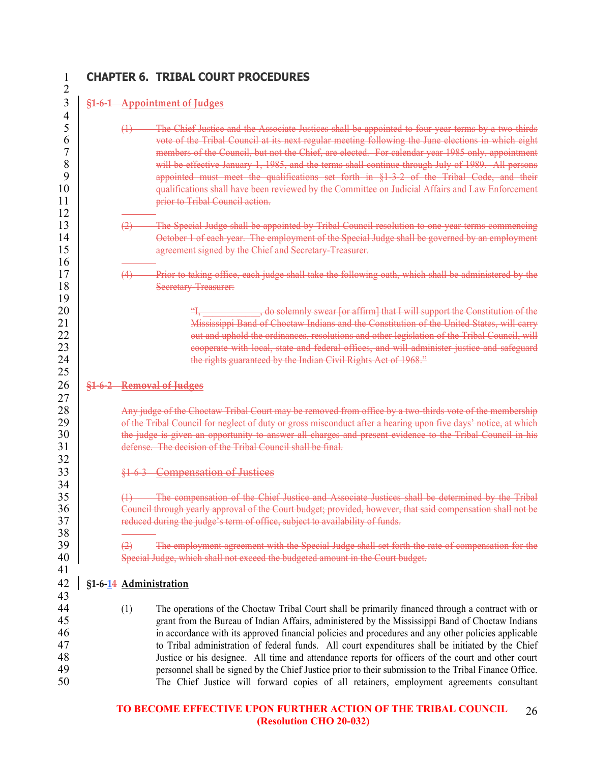# **§1-6-1 Appointment of Judges**  $\frac{4}{5}$   $\frac{19}{20}$

# **CHAPTER 6. TRIBAL COURT PROCEDURES**

|        | The Chief Justice and the Associate Justices shall be appointed to four-year terms by a two-thirds |
|--------|----------------------------------------------------------------------------------------------------|
|        | vote of the Tribal Council at its next regular meeting following the June elections in which eight |
|        | members of the Council, but not the Chief, are elected. For calendar year 1985 only, appointment   |
|        | will be effective January 1, 1985, and the terms shall continue through July of 1989. All persons  |
|        | appointed must meet the qualifications set forth in §1-3-2 of the Tribal Code, and                 |
|        | qualifications shall have been reviewed by the Committee on Judicial Affairs and Law Enforcement   |
|        | prior to Tribal Council action.                                                                    |
| $\sim$ |                                                                                                    |

 (2) The Special Judge shall be appointed by Tribal Council resolution to one-year terms commencing 14 October 1 of each year. The employment of the Special Judge shall be governed by an employment 15 agreement signed by the Chief and Secretary-Treasurer.

## (4) Prior to taking office, each judge shall take the following oath, which shall be administered by the **Secretary-Treasurer:**

<sup>21</sup> "I, all solemnly swear [or affirm] that I will support the Constitution of the 21 Mississippi Band of Choctaw Indians and the Constitution of the United States, will carry<br>22 met and uphold the ordinances resolutions and other legislation of the Tribal Council will 22 out and uphold the ordinances, resolutions and other legislation of the Tribal Council, will<br>23 cooperate with local state and federal offices and will administer justice and safeguard cooperate with local, state and federal offices, and will administer justice and safeguard **the rights guaranteed by the Indian Civil Rights Act of 1968**."

# **§1-6-2 Removal of Judges**

28 Any judge of the Choctaw Tribal Court may be removed from office by a two-thirds vote of the membership<br>29 of the Tribal Council for neglect of duty or gross misconduct after a hearing upon five days' notice, at which 29 of the Tribal Council for neglect of duty or gross misconduct after a hearing upon five days' notice, at which<br>30 the judge is given an opportunity to answer all charges and present evidence to the Tribal Council in his the judge is given an opportunity to answer all charges and present evidence to the Tribal Council in his defense. The decision of the Tribal Council shall be final.

§1-6-3 Compensation of Justices

 (1) The compensation of the Chief Justice and Associate Justices shall be determined by the Tribal 36 Council through yearly approval of the Court budget; provided, however, that said compensation shall not be<br>37 educed during the judge's term of office, subject to availability of funds. reduced during the judge's term of office, subject to availability of funds.

  $\Box$  The employment agreement with the Special Judge shall set forth the rate of compensation for the 40 Special Judge, which shall not exceed the budgeted amount in the Court budget.

# **§1-6-14 Administration**

44 (1) The operations of the Choctaw Tribal Court shall be primarily financed through a contract with or<br>45 erant from the Bureau of Indian Affairs administered by the Mississippi Band of Choctaw Indians grant from the Bureau of Indian Affairs, administered by the Mississippi Band of Choctaw Indians in accordance with its approved financial policies and procedures and any other policies applicable 47 to Tribal administration of federal funds. All court expenditures shall be initiated by the Chief<br>48 lustice or his designee All time and attendance reports for officers of the court and other court Justice or his designee. All time and attendance reports for officers of the court and other court 49 personnel shall be signed by the Chief Justice prior to their submission to the Tribal Finance Office.<br>50 The Chief Justice will forward copies of all retainers employment agreements consultant The Chief Justice will forward copies of all retainers, employment agreements consultant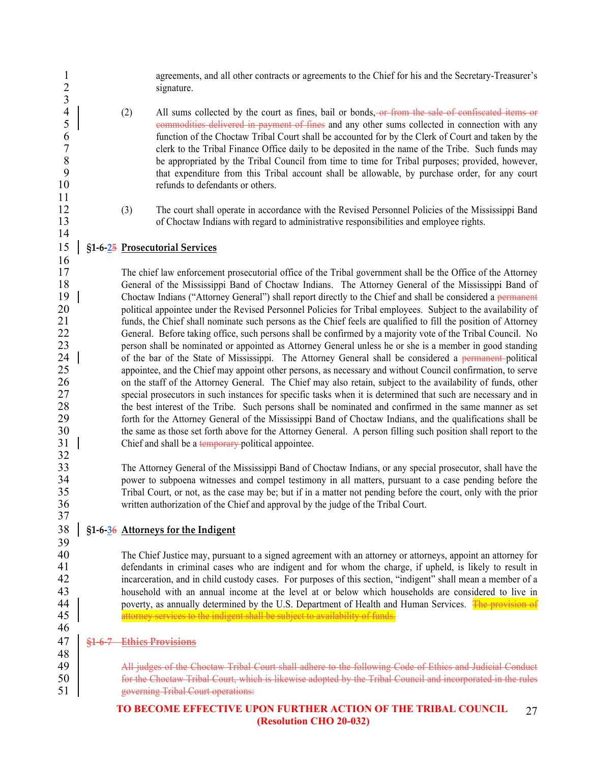1 agreements, and all other contracts or agreements to the Chief for his and the Secretary-Treasurer's<br>2 signature.  $\frac{3}{4}$ 4 (2) All sums collected by the court as fines, bail or bonds, or from the sale of confiscated items or commodities delivered in payment of fines and any other sums collected in connection with any 5 commodities delivered in payment of fines and any other sums collected in connection with any 6 function of the Choctaw Tribal Court shall be accounted for by the Clerk of Court and taken by the clerk to the Tribal Finance Office daily to be deposited in the name of the Tribe. Such funds may 8 be appropriated by the Tribal Council from time to time for Tribal purposes; provided, however,<br>9 that expenditure from this Tribal account shall be allowable by purchase order for any court 9 that expenditure from this Tribal account shall be allowable, by purchase order, for any court 10 refunds to defendants or others. 11 12 (3) The court shall operate in accordance with the Revised Personnel Policies of the Mississippi Band 13 of Choctaw Indians with regard to administrative responsibilities and employee rights. 14 15 **§1-6-25 Prosecutorial Services** 16 17 The chief law enforcement prosecutorial office of the Tribal government shall be the Office of the Attorney 18 General of the Mississippi Band of Choctaw Indians. The Attorney General of the Mississippi Band of Choctaw Indians ("Attorney General") shall report directly to the Chief and shall be considered a permanent 19 Choctaw Indians ("Attorney General") shall report directly to the Chief and shall be considered a permanent<br>20 considered a permanent policies for Tribal employees Subject to the availability of 20 political appointee under the Revised Personnel Policies for Tribal employees. Subject to the availability of 21 funds, the Chief shall nominate such persons as the Chief feels are qualified to fill the position of Attorney 22 General. Before taking office, such persons shall be confirmed by a majority vote of the Tribal Council. No<br>23 eners on shall be nominated or appointed as Attorney General unless he or she is a member in good standing 23 person shall be nominated or appointed as Attorney General unless he or she is a member in good standing<br>24 | of the bar of the State of Mississippi. The Attorney General shall be considered a permanent-political of the bar of the State of Mississippi. The Attorney General shall be considered a permanent-political 25 appointee, and the Chief may appoint other persons, as necessary and without Council confirmation, to serve 26 on the staff of the Attorney General. The Chief may also retain, subject to the availability of funds, other<br>27 special prosecutors in such instances for specific tasks when it is determined that such are necessary and special prosecutors in such instances for specific tasks when it is determined that such are necessary and in 28 the best interest of the Tribe. Such persons shall be nominated and confirmed in the same manner as set 29 forth for the Attorney General of the Mississippi Band of Choctaw Indians, and the qualifications shall be 30 the same as those set forth above for the Attorney General. A person filling such position shall report to the<br>31 | Chief and shall be a temporary-political appointee. Chief and shall be a temporary political appointee.  $\frac{32}{33}$ The Attorney General of the Mississippi Band of Choctaw Indians, or any special prosecutor, shall have the 34 power to subpoena witnesses and compel testimony in all matters, pursuant to a case pending before the 35 Tribal Court, or not, as the case may be; but if in a matter not pending before the court, only with the prior 36 written authorization of the Chief and approval by the judge of the Tribal Court. 37 38 **§1-6-36 Attorneys for the Indigent** 39<br>40 40 The Chief Justice may, pursuant to a signed agreement with an attorney or attorneys, appoint an attorney for<br>41 defendants in criminal cases who are indigent and for whom the charge if unheld is likely to result in defendants in criminal cases who are indigent and for whom the charge, if upheld, is likely to result in 42 incarceration, and in child custody cases. For purposes of this section, "indigent" shall mean a member of a 43 household with an annual income at the level at or below which households are considered to live in 44 poverty, as annually determined by the U.S. Department of Health and Human Services. The provision of 45 attorney services to the indigent shall be subject to availability of funds. attorney services to the indigent shall be subject to availability of funds. 46 47 **§1-6-7 Ethics Provisions** 48 49 | All judges of the Choctaw Tribal Court shall adhere to the following Code of Ethics and Judicial Conduct 50 for the Choctaw Tribal Court, which is likewise adopted by the Tribal Council and incorporated in the rules 51 governing Tribal Court operations: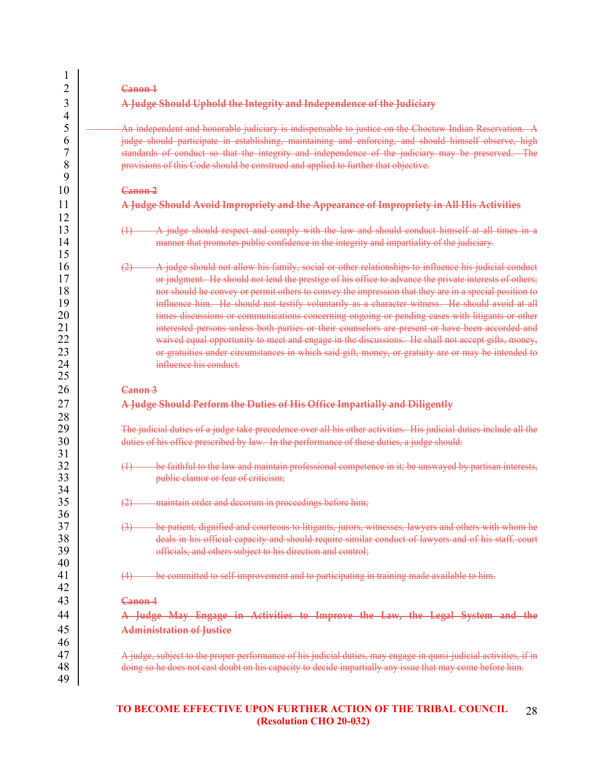|                   | A Judge Should Uphold the Integrity and Independence of the Judiciary                                                                                                                                                                                                                                                                                                                                                                                                                                                                                                                                                                                                                                                                                                                                                                        |
|-------------------|----------------------------------------------------------------------------------------------------------------------------------------------------------------------------------------------------------------------------------------------------------------------------------------------------------------------------------------------------------------------------------------------------------------------------------------------------------------------------------------------------------------------------------------------------------------------------------------------------------------------------------------------------------------------------------------------------------------------------------------------------------------------------------------------------------------------------------------------|
|                   | An independent and honorable judiciary is indispensable to justice on the Choctaw Indian Reservation. A<br>judge should participate in establishing, maintaining and enforcing, and should himself observe, high<br>standards of conduct so that the integrity and independence of the judiciary may be preserved. The<br>provisions of this Code should be construed and applied to further that objective.                                                                                                                                                                                                                                                                                                                                                                                                                                 |
|                   | Canon <sub>2</sub>                                                                                                                                                                                                                                                                                                                                                                                                                                                                                                                                                                                                                                                                                                                                                                                                                           |
|                   | A Judge Should Avoid Impropriety and the Appearance of Impropriety in All His Activities                                                                                                                                                                                                                                                                                                                                                                                                                                                                                                                                                                                                                                                                                                                                                     |
| $\bigoplus$       | A judge should respect and comply with the law and should conduct himself at all times in a<br>manner that promotes public confidence in the integrity and impartiality of the judiciary.                                                                                                                                                                                                                                                                                                                                                                                                                                                                                                                                                                                                                                                    |
| (2)               | A judge should not allow his family, social or other relationships to influence his judicial conduct<br>or judgment. He should not lend the prestige of his office to advance the private interests of others;<br>nor should he convey or permit others to convey the impression that they are in a special position to<br>influence him. He should not testify voluntarily as a character witness. He should avoid at all<br>times discussions or communications concerning ongoing or pending cases with litigants or other<br>interested persons unless both parties or their counselors are present or have been accorded and<br>waived equal opportunity to meet and engage in the discussions. He shall not accept gifts, money,<br>or gratuities under circumstances in which said gift, money, or gratuity are or may be intended to |
|                   | influence his conduct.                                                                                                                                                                                                                                                                                                                                                                                                                                                                                                                                                                                                                                                                                                                                                                                                                       |
|                   | Canon 3<br>A Judge Should Perform the Duties of His Office Impartially and Diligently                                                                                                                                                                                                                                                                                                                                                                                                                                                                                                                                                                                                                                                                                                                                                        |
|                   | The judicial duties of a judge take precedence over all his other activities. His judicial duties include all the<br>duties of his office prescribed by law. In the performance of these duties, a judge should:                                                                                                                                                                                                                                                                                                                                                                                                                                                                                                                                                                                                                             |
| $\leftrightarrow$ | be faithful to the law and maintain professional competence in it; be unswayed by partisan interests,<br>public clamor or fear of criticism;                                                                                                                                                                                                                                                                                                                                                                                                                                                                                                                                                                                                                                                                                                 |
| (2)               | maintain order and decorum in proceedings before him;                                                                                                                                                                                                                                                                                                                                                                                                                                                                                                                                                                                                                                                                                                                                                                                        |
| (3)               | officials, and others subject to his direction and control;                                                                                                                                                                                                                                                                                                                                                                                                                                                                                                                                                                                                                                                                                                                                                                                  |
| (4)               | be patient, dignified and courteous to litigants, jurors, witnesses, lawyers and others with whom he<br>deals in his official capacity and should require similar conduct of lawyers and of his staff, court<br>be committed to self-improvement and to participating in training made available to him.                                                                                                                                                                                                                                                                                                                                                                                                                                                                                                                                     |
|                   | Canon 4                                                                                                                                                                                                                                                                                                                                                                                                                                                                                                                                                                                                                                                                                                                                                                                                                                      |
|                   |                                                                                                                                                                                                                                                                                                                                                                                                                                                                                                                                                                                                                                                                                                                                                                                                                                              |
|                   | A Judge May Engage in Activities to Improve the Law, the Legal System and the<br><b>Administration of Justice</b>                                                                                                                                                                                                                                                                                                                                                                                                                                                                                                                                                                                                                                                                                                                            |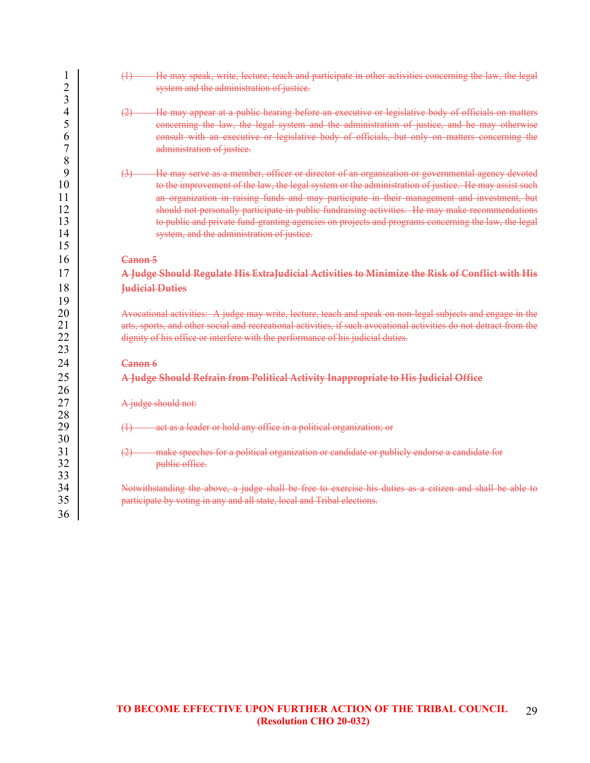| 1<br>$\overline{2}$<br>3              | He may speak, write, lecture, teach and participate in other activities concerning the law, the legal<br>$\leftrightarrow$<br>system and the administration of justice.                                                                                                                                                                                                                                                                                                                                                                                                             |
|---------------------------------------|-------------------------------------------------------------------------------------------------------------------------------------------------------------------------------------------------------------------------------------------------------------------------------------------------------------------------------------------------------------------------------------------------------------------------------------------------------------------------------------------------------------------------------------------------------------------------------------|
| 4<br>5<br>6<br>7<br>8                 | He may appear at a public hearing before an executive or legislative body of officials on matters<br>(2)<br>concerning the law, the legal system and the administration of justice, and he may otherwise<br>consult with an executive or legislative body of officials, but only on matters concerning the<br>administration of justice.                                                                                                                                                                                                                                            |
| 9<br>10<br>11<br>12<br>13<br>14<br>15 | He may serve as a member, officer or director of an organization or governmental agency devoted<br>$\left(3\right)$<br>to the improvement of the law, the legal system or the administration of justice. He may assist such<br>an organization in raising funds and may participate in their management and investment, but<br>should not personally participate in public fundraising activities. He may make recommendations<br>to public and private fund-granting agencies on projects and programs concerning the law, the legal<br>system, and the administration of justice. |
| 16                                    | Canon 5                                                                                                                                                                                                                                                                                                                                                                                                                                                                                                                                                                             |
| 17                                    | A Judge Should Regulate His ExtraJudicial Activities to Minimize the Risk of Conflict with His                                                                                                                                                                                                                                                                                                                                                                                                                                                                                      |
| 18                                    | <b>Judicial Duties</b>                                                                                                                                                                                                                                                                                                                                                                                                                                                                                                                                                              |
| 19                                    |                                                                                                                                                                                                                                                                                                                                                                                                                                                                                                                                                                                     |
| 20                                    | Avocational activities: A judge may write, lecture, teach and speak on non-legal subjects and engage in the                                                                                                                                                                                                                                                                                                                                                                                                                                                                         |
| 21<br>22<br>23                        | arts, sports, and other social and recreational activities, if such avocational activities do not detract from the<br>dignity of his office or interfere with the performance of his judicial duties.                                                                                                                                                                                                                                                                                                                                                                               |
| 24                                    | Canon 6                                                                                                                                                                                                                                                                                                                                                                                                                                                                                                                                                                             |
| 25                                    | A Judge Should Refrain from Political Activity Inappropriate to His Judicial Office                                                                                                                                                                                                                                                                                                                                                                                                                                                                                                 |
| 26                                    |                                                                                                                                                                                                                                                                                                                                                                                                                                                                                                                                                                                     |
| 27                                    | A judge should not:                                                                                                                                                                                                                                                                                                                                                                                                                                                                                                                                                                 |
| 28                                    |                                                                                                                                                                                                                                                                                                                                                                                                                                                                                                                                                                                     |
| 29<br>30                              | act as a leader or hold any office in a political organization; or<br>$\leftrightarrow$                                                                                                                                                                                                                                                                                                                                                                                                                                                                                             |
| 31<br>32                              | make speeches for a political organization or candidate or publicly endorse a candidate for<br>public office.                                                                                                                                                                                                                                                                                                                                                                                                                                                                       |
| 33                                    |                                                                                                                                                                                                                                                                                                                                                                                                                                                                                                                                                                                     |
| 34                                    | Notwithstanding the above, a judge shall be free to exercise his duties as a citizen and shall be able to                                                                                                                                                                                                                                                                                                                                                                                                                                                                           |
| 35                                    | participate by voting in any and all state, local and Tribal elections.                                                                                                                                                                                                                                                                                                                                                                                                                                                                                                             |
| 36                                    |                                                                                                                                                                                                                                                                                                                                                                                                                                                                                                                                                                                     |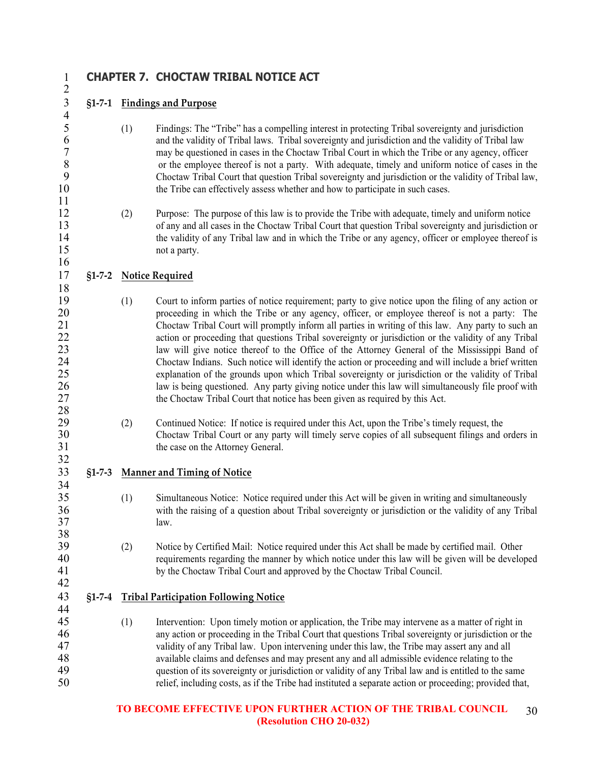$\frac{4}{5}$ 

 $\frac{11}{12}$ 

 $\frac{18}{19}$ 

# **CHAPTER 7. CHOCTAW TRIBAL NOTICE ACT**

# **§1-7-1 Findings and Purpose**

- (1) Findings: The "Tribe" has a compelling interest in protecting Tribal sovereignty and jurisdiction 6 and the validity of Tribal laws. Tribal sovereignty and jurisdiction and the validity of Tribal law<br>
Tribal Court in which the Tribe or any agency, office 7 may be questioned in cases in the Choctaw Tribal Court in which the Tribe or any agency, officer<br>8 or the employee thereof is not a party. With adequate, timely and uniform notice of cases in the 8 or the employee thereof is not a party. With adequate, timely and uniform notice of cases in the<br>9 Choctaw Tribal Court that question Tribal sovereignty and iurisdiction or the validity of Tribal law. Choctaw Tribal Court that question Tribal sovereignty and jurisdiction or the validity of Tribal law, 10 the Tribe can effectively assess whether and how to participate in such cases.
- (2) Purpose: The purpose of this law is to provide the Tribe with adequate, timely and uniform notice of any and all cases in the Choctaw Tribal Court that question Tribal sovereignty and jurisdiction or 14 the validity of any Tribal law and in which the Tribe or any agency, officer or employee thereof is not a party. not a party.

# **§1-7-2 Notice Required**

- 19 (1) Court to inform parties of notice requirement; party to give notice upon the filing of any action or<br>20 **consection** or proceeding in which the Tribe or any agency, officer, or employee thereof is not a party: The 20 proceeding in which the Tribe or any agency, officer, or employee thereof is not a party: The Choctaw Tribal Court will promptly inform all parties in writing of this law. Any party to such an Choctaw Tribal Court will promptly inform all parties in writing of this law. Any party to such an 22 action or proceeding that questions Tribal sovereignty or jurisdiction or the validity of any Tribal 23 law will give notice thereof to the Office of the Attorney General of the Mississippi Band of law will give notice thereof to the Office of the Attorney General of the Mississippi Band of Choctaw Indians. Such notice will identify the action or proceeding and will include a brief written explanation of the grounds upon which Tribal sovereignty or jurisdiction or the validity of Tribal 26 law is being questioned. Any party giving notice under this law will simultaneously file proof with the Choctaw Tribal Court that notice has been given as required by this Act. the Choctaw Tribal Court that notice has been given as required by this Act.
- $\frac{28}{29}$ 29 (2) Continued Notice: If notice is required under this Act, upon the Tribe's timely request, the<br>30 Choctaw Tribal Court or any party will timely serve copies of all subsequent filings and of Choctaw Tribal Court or any party will timely serve copies of all subsequent filings and orders in 31 the case on the Attorney General.
- **§1-7-3 Manner and Timing of Notice**
- (1) Simultaneous Notice: Notice required under this Act will be given in writing and simultaneously with the raising of a question about Tribal sovereignty or jurisdiction or the validity of any Tribal law.
- (2) Notice by Certified Mail: Notice required under this Act shall be made by certified mail. Other requirements regarding the manner by which notice under this law will be given will be developed by the Choctaw Tribal Court and approved by the Choctaw Tribal Council.

## **§1-7-4 Tribal Participation Following Notice**

 (1) Intervention: Upon timely motion or application, the Tribe may intervene as a matter of right in any action or proceeding in the Tribal Court that questions Tribal sovereignty or jurisdiction or the 47 validity of any Tribal law. Upon intervening under this law, the Tribe may assert any and all<br>48 available claims and defenses and may present any and all admissible evidence relating to the available claims and defenses and may present any and all admissible evidence relating to the question of its sovereignty or jurisdiction or validity of any Tribal law and is entitled to the same relief, including costs, as if the Tribe had instituted a separate action or proceeding; provided that,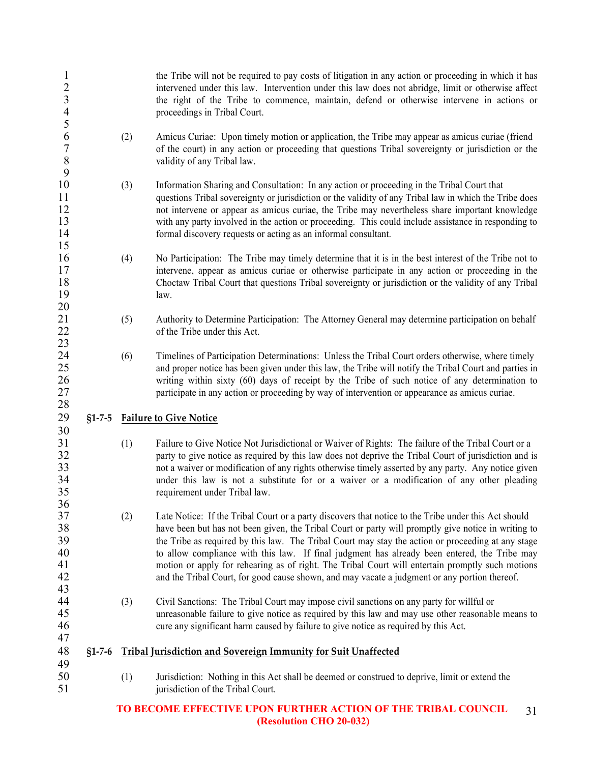| $\mathbf{1}$<br>$\frac{2}{3}$<br>$\overline{4}$<br>5 |          |     | the Tribe will not be required to pay costs of litigation in any action or proceeding in which it has<br>intervened under this law. Intervention under this law does not abridge, limit or otherwise affect<br>the right of the Tribe to commence, maintain, defend or otherwise intervene in actions or<br>proceedings in Tribal Court.                                                                                                                                                                              |
|------------------------------------------------------|----------|-----|-----------------------------------------------------------------------------------------------------------------------------------------------------------------------------------------------------------------------------------------------------------------------------------------------------------------------------------------------------------------------------------------------------------------------------------------------------------------------------------------------------------------------|
| 6<br>$\boldsymbol{7}$<br>$\,8\,$<br>9                |          | (2) | Amicus Curiae: Upon timely motion or application, the Tribe may appear as amicus curiae (friend<br>of the court) in any action or proceeding that questions Tribal sovereignty or jurisdiction or the<br>validity of any Tribal law.                                                                                                                                                                                                                                                                                  |
| 10<br>11<br>12<br>13<br>14<br>15                     |          | (3) | Information Sharing and Consultation: In any action or proceeding in the Tribal Court that<br>questions Tribal sovereignty or jurisdiction or the validity of any Tribal law in which the Tribe does<br>not intervene or appear as amicus curiae, the Tribe may nevertheless share important knowledge<br>with any party involved in the action or proceeding. This could include assistance in responding to<br>formal discovery requests or acting as an informal consultant.                                       |
| 16<br>17<br>18<br>19<br>20                           |          | (4) | No Participation: The Tribe may timely determine that it is in the best interest of the Tribe not to<br>intervene, appear as amicus curiae or otherwise participate in any action or proceeding in the<br>Choctaw Tribal Court that questions Tribal sovereignty or jurisdiction or the validity of any Tribal<br>law.                                                                                                                                                                                                |
| 21<br>22<br>23                                       |          | (5) | Authority to Determine Participation: The Attorney General may determine participation on behalf<br>of the Tribe under this Act.                                                                                                                                                                                                                                                                                                                                                                                      |
| 24<br>25<br>26<br>27<br>28                           |          | (6) | Timelines of Participation Determinations: Unless the Tribal Court orders otherwise, where timely<br>and proper notice has been given under this law, the Tribe will notify the Tribal Court and parties in<br>writing within sixty (60) days of receipt by the Tribe of such notice of any determination to<br>participate in any action or proceeding by way of intervention or appearance as amicus curiae.                                                                                                        |
| 29<br>30                                             | $$1-7-5$ |     | <b>Failure to Give Notice</b>                                                                                                                                                                                                                                                                                                                                                                                                                                                                                         |
| 31<br>32<br>33<br>34<br>35<br>36                     |          | (1) | Failure to Give Notice Not Jurisdictional or Waiver of Rights: The failure of the Tribal Court or a<br>party to give notice as required by this law does not deprive the Tribal Court of jurisdiction and is<br>not a waiver or modification of any rights otherwise timely asserted by any party. Any notice given<br>under this law is not a substitute for or a waiver or a modification of any other pleading<br>requirement under Tribal law.                                                                    |
| 37<br>38<br>39<br>40<br>41<br>42                     |          | (2) | Late Notice: If the Tribal Court or a party discovers that notice to the Tribe under this Act should<br>have been but has not been given, the Tribal Court or party will promptly give notice in writing to<br>the Tribe as required by this law. The Tribal Court may stay the action or proceeding at any stage<br>to allow compliance with this law. If final judgment has already been entered, the Tribe may<br>motion or apply for rehearing as of right. The Tribal Court will entertain promptly such motions |
|                                                      |          |     | and the Tribal Court, for good cause shown, and may vacate a judgment or any portion thereof.                                                                                                                                                                                                                                                                                                                                                                                                                         |
| 43<br>44<br>45<br>46                                 |          | (3) | Civil Sanctions: The Tribal Court may impose civil sanctions on any party for willful or<br>unreasonable failure to give notice as required by this law and may use other reasonable means to<br>cure any significant harm caused by failure to give notice as required by this Act.                                                                                                                                                                                                                                  |
| 47<br>48<br>49                                       | $$1-7-6$ |     | Tribal Jurisdiction and Sovereign Immunity for Suit Unaffected                                                                                                                                                                                                                                                                                                                                                                                                                                                        |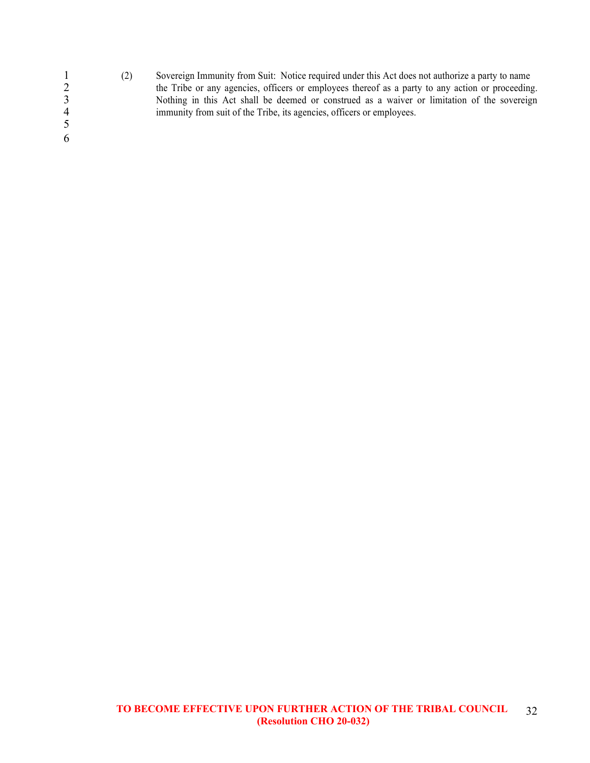1 (2) Sovereign Immunity from Suit: Notice required under this Act does not authorize a party to name the Tribe or any agencies, officers or employees thereof as a party to any action or proceeding 2 the Tribe or any agencies, officers or employees thereof as a party to any action or proceeding.<br>3 Nothing in this Act shall be deemed or construed as a waiver or limitation of the sovereign<br>4 immunity from suit of the T 3 Nothing in this Act shall be deemed or construed as a waiver or limitation of the sovereign immunity from suit of the Tribe, its agencies, officers or employees. 5 6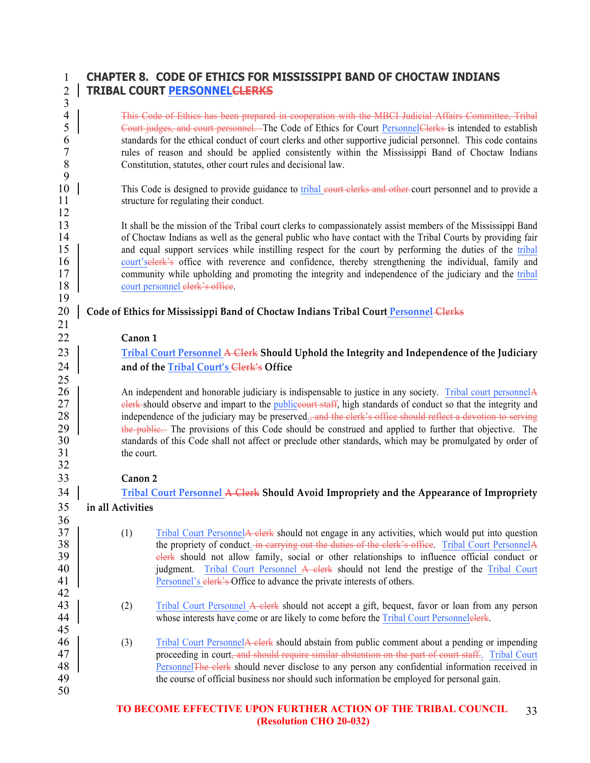# **CHAPTER 8. CODE OF ETHICS FOR MISSISSIPPI BAND OF CHOCTAW INDIANS TRIBAL COURT PERSONNELCLERKS**

| 3                |                                                                                                                                                                                                                                    |  |  |
|------------------|------------------------------------------------------------------------------------------------------------------------------------------------------------------------------------------------------------------------------------|--|--|
| $\overline{4}$   | This Code of Ethics has been prepared in cooperation with the MBCI Judicial Affairs Committee, Tribal                                                                                                                              |  |  |
| 5                | Court judges, and court personnel. The Code of Ethics for Court PersonnelClerks is intended to establish                                                                                                                           |  |  |
| 6                | standards for the ethical conduct of court clerks and other supportive judicial personnel. This code contains                                                                                                                      |  |  |
| $\boldsymbol{7}$ | rules of reason and should be applied consistently within the Mississippi Band of Choctaw Indians                                                                                                                                  |  |  |
| $\, 8$           | Constitution, statutes, other court rules and decisional law.                                                                                                                                                                      |  |  |
| 9                |                                                                                                                                                                                                                                    |  |  |
| 10               | This Code is designed to provide guidance to tribal court clerks and other court personnel and to provide a                                                                                                                        |  |  |
| 11               | structure for regulating their conduct.                                                                                                                                                                                            |  |  |
| 12               |                                                                                                                                                                                                                                    |  |  |
| 13               | It shall be the mission of the Tribal court clerks to compassionately assist members of the Mississippi Band                                                                                                                       |  |  |
| 14               | of Choctaw Indians as well as the general public who have contact with the Tribal Courts by providing fair                                                                                                                         |  |  |
| 15               | and equal support services while instilling respect for the court by performing the duties of the tribal                                                                                                                           |  |  |
| 16<br>17         | court's elerk's office with reverence and confidence, thereby strengthening the individual, family and<br>community while upholding and promoting the integrity and independence of the judiciary and the tribal                   |  |  |
| 18               | court personnel elerk's office.                                                                                                                                                                                                    |  |  |
| 19               |                                                                                                                                                                                                                                    |  |  |
| 20               | Code of Ethics for Mississippi Band of Choctaw Indians Tribal Court Personnel Clerks                                                                                                                                               |  |  |
| 21               |                                                                                                                                                                                                                                    |  |  |
| 22               | Canon 1                                                                                                                                                                                                                            |  |  |
|                  |                                                                                                                                                                                                                                    |  |  |
| 23               | Tribal Court Personnel A Clerk Should Uphold the Integrity and Independence of the Judiciary                                                                                                                                       |  |  |
| 24               | and of the Tribal Court's Clerk's Office                                                                                                                                                                                           |  |  |
| 25               |                                                                                                                                                                                                                                    |  |  |
| 26               | An independent and honorable judiciary is indispensable to justice in any society. Tribal court personnel A                                                                                                                        |  |  |
| 27<br>28         | elerk-should observe and impart to the publiceourt staff, high standards of conduct so that the integrity and                                                                                                                      |  |  |
| 29               | independence of the judiciary may be preserved. <del>, and the clerk's office should reflect a devotion to serving</del><br>the public. The provisions of this Code should be construed and applied to further that objective. The |  |  |
| 30               | standards of this Code shall not affect or preclude other standards, which may be promulgated by order of                                                                                                                          |  |  |
| 31               | the court.                                                                                                                                                                                                                         |  |  |
| 32               |                                                                                                                                                                                                                                    |  |  |
| 33               | Canon <sub>2</sub>                                                                                                                                                                                                                 |  |  |
| 34               | Tribal Court Personnel A Clerk Should Avoid Impropriety and the Appearance of Impropriety                                                                                                                                          |  |  |
| 35               | in all Activities                                                                                                                                                                                                                  |  |  |
| 36               |                                                                                                                                                                                                                                    |  |  |
| 37               | Tribal Court PersonnelA clerk should not engage in any activities, which would put into question<br>(1)                                                                                                                            |  |  |
| 38               | the propriety of conduct. in carrying out the duties of the clerk's office. Tribal Court PersonnelA                                                                                                                                |  |  |
| 39               | elerk should not allow family, social or other relationships to influence official conduct or                                                                                                                                      |  |  |
| 40               | Tribal Court Personnel A clerk should not lend the prestige of the Tribal Court<br>judgment.                                                                                                                                       |  |  |
| 41               | Personnel's elerk's Office to advance the private interests of others.                                                                                                                                                             |  |  |
| 42               |                                                                                                                                                                                                                                    |  |  |
| 43               | Tribal Court Personnel A elerk should not accept a gift, bequest, favor or loan from any person<br>(2)                                                                                                                             |  |  |
| 44               | whose interests have come or are likely to come before the Tribal Court Personnelelerk.                                                                                                                                            |  |  |
| 45               |                                                                                                                                                                                                                                    |  |  |
| 46               | (3)<br>Tribal Court Personnel A elerk should abstain from public comment about a pending or impending                                                                                                                              |  |  |
| 47               | proceeding in court, and should require similar abstention on the part of court staff Tribal Court                                                                                                                                 |  |  |
| 48               | Personnel The elerk should never disclose to any person any confidential information received in                                                                                                                                   |  |  |
| 49               | the course of official business nor should such information be employed for personal gain.                                                                                                                                         |  |  |
| 50               |                                                                                                                                                                                                                                    |  |  |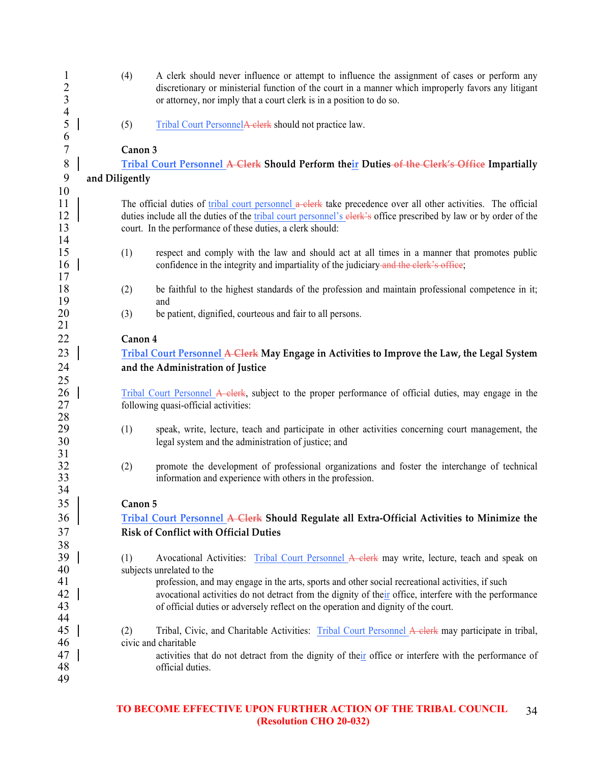| $\mathbf{1}$<br>$\sqrt{2}$<br>3 | (4)            | A clerk should never influence or attempt to influence the assignment of cases or perform any<br>discretionary or ministerial function of the court in a manner which improperly favors any litigant<br>or attorney, nor imply that a court clerk is in a position to do so. |
|---------------------------------|----------------|------------------------------------------------------------------------------------------------------------------------------------------------------------------------------------------------------------------------------------------------------------------------------|
| $\overline{4}$<br>5             | (5)            | Tribal Court PersonnelA clerk should not practice law.                                                                                                                                                                                                                       |
| 6                               |                |                                                                                                                                                                                                                                                                              |
| $\tau$                          | Canon 3        |                                                                                                                                                                                                                                                                              |
| $8\,$                           |                | Tribal Court Personnel A Clerk Should Perform their Duties-of the Clerk's Office Impartially                                                                                                                                                                                 |
| 9                               | and Diligently |                                                                                                                                                                                                                                                                              |
| 10                              |                |                                                                                                                                                                                                                                                                              |
| 11                              |                | The official duties of tribal court personnel a clerk take precedence over all other activities. The official                                                                                                                                                                |
| 12                              |                | duties include all the duties of the tribal court personnel's elerk's office prescribed by law or by order of the                                                                                                                                                            |
| 13                              |                | court. In the performance of these duties, a clerk should:                                                                                                                                                                                                                   |
| 14                              |                |                                                                                                                                                                                                                                                                              |
| 15                              | (1)            | respect and comply with the law and should act at all times in a manner that promotes public                                                                                                                                                                                 |
| 16                              |                | confidence in the integrity and impartiality of the judiciary and the clerk's office;                                                                                                                                                                                        |
| 17<br>18                        |                | be faithful to the highest standards of the profession and maintain professional competence in it;                                                                                                                                                                           |
| 19                              | (2)            | and                                                                                                                                                                                                                                                                          |
| 20                              | (3)            | be patient, dignified, courteous and fair to all persons.                                                                                                                                                                                                                    |
| 21                              |                |                                                                                                                                                                                                                                                                              |
| 22                              | Canon 4        |                                                                                                                                                                                                                                                                              |
| 23                              |                | Tribal Court Personnel A Clerk May Engage in Activities to Improve the Law, the Legal System                                                                                                                                                                                 |
|                                 |                |                                                                                                                                                                                                                                                                              |
| 24<br>25                        |                | and the Administration of Justice                                                                                                                                                                                                                                            |
| 26                              |                | Tribal Court Personnel A clerk, subject to the proper performance of official duties, may engage in the                                                                                                                                                                      |
| 27                              |                | following quasi-official activities:                                                                                                                                                                                                                                         |
| 28                              |                |                                                                                                                                                                                                                                                                              |
| 29                              | (1)            | speak, write, lecture, teach and participate in other activities concerning court management, the                                                                                                                                                                            |
| 30                              |                | legal system and the administration of justice; and                                                                                                                                                                                                                          |
| 31                              |                |                                                                                                                                                                                                                                                                              |
| 32                              | (2)            | promote the development of professional organizations and foster the interchange of technical                                                                                                                                                                                |
| 33                              |                | information and experience with others in the profession.                                                                                                                                                                                                                    |
| 34                              |                |                                                                                                                                                                                                                                                                              |
| 35 <sup>5</sup>                 | Canon 5        |                                                                                                                                                                                                                                                                              |
| 36                              |                | Tribal Court Personnel A Clerk Should Regulate all Extra-Official Activities to Minimize the                                                                                                                                                                                 |
| 37                              |                | <b>Risk of Conflict with Official Duties</b>                                                                                                                                                                                                                                 |
| 38                              |                |                                                                                                                                                                                                                                                                              |
| 39                              | (1)            | Avocational Activities: Tribal Court Personnel A clerk may write, lecture, teach and speak on                                                                                                                                                                                |
| 40                              |                | subjects unrelated to the                                                                                                                                                                                                                                                    |
| 41                              |                | profession, and may engage in the arts, sports and other social recreational activities, if such                                                                                                                                                                             |
| 42                              |                | avocational activities do not detract from the dignity of their office, interfere with the performance                                                                                                                                                                       |
| 43                              |                | of official duties or adversely reflect on the operation and dignity of the court.                                                                                                                                                                                           |
| 44                              |                |                                                                                                                                                                                                                                                                              |
| 45                              | (2)            | Tribal, Civic, and Charitable Activities: Tribal Court Personnel A elerk may participate in tribal,                                                                                                                                                                          |
| 46                              |                | civic and charitable                                                                                                                                                                                                                                                         |
| 47                              |                | activities that do not detract from the dignity of their office or interfere with the performance of                                                                                                                                                                         |
| 48                              |                | official duties.                                                                                                                                                                                                                                                             |
| 49                              |                |                                                                                                                                                                                                                                                                              |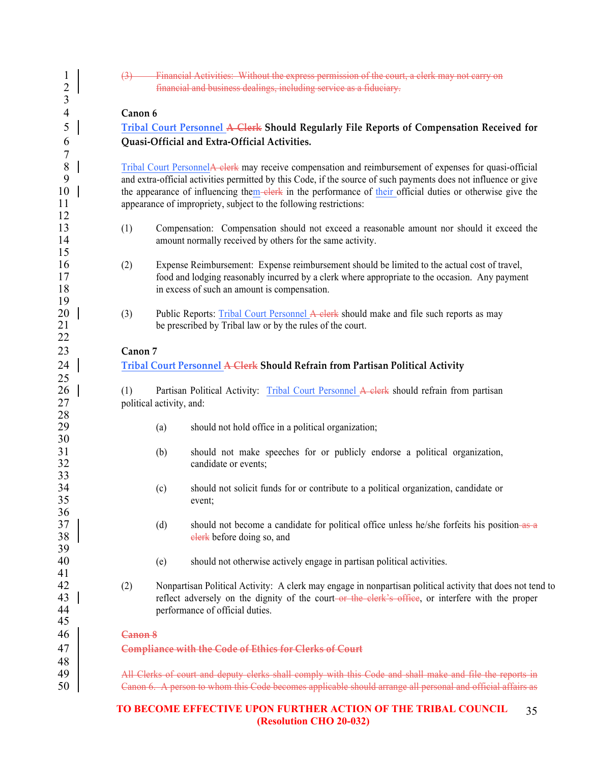| $\mathbf 1$<br>$\overline{c}$<br>3 | $\left(3\right)$ |                                                                                                                                                                                                                                                    | Financial Activities: Without the express permission of the court, a clerk may not carry on<br>financial and business dealings, including service as a fiduciary.                                                                                                                                                                                                                                              |  |  |  |  |  |  |  |  |  |
|------------------------------------|------------------|----------------------------------------------------------------------------------------------------------------------------------------------------------------------------------------------------------------------------------------------------|----------------------------------------------------------------------------------------------------------------------------------------------------------------------------------------------------------------------------------------------------------------------------------------------------------------------------------------------------------------------------------------------------------------|--|--|--|--|--|--|--|--|--|
| 4                                  | Canon 6          |                                                                                                                                                                                                                                                    |                                                                                                                                                                                                                                                                                                                                                                                                                |  |  |  |  |  |  |  |  |  |
| 5                                  |                  |                                                                                                                                                                                                                                                    | Tribal Court Personnel A Clerk Should Regularly File Reports of Compensation Received for                                                                                                                                                                                                                                                                                                                      |  |  |  |  |  |  |  |  |  |
| 6<br>7                             |                  |                                                                                                                                                                                                                                                    | Quasi-Official and Extra-Official Activities.                                                                                                                                                                                                                                                                                                                                                                  |  |  |  |  |  |  |  |  |  |
| $\, 8$<br>9<br>10<br>11            |                  |                                                                                                                                                                                                                                                    | Tribal Court Personnel A clerk may receive compensation and reimbursement of expenses for quasi-official<br>and extra-official activities permitted by this Code, if the source of such payments does not influence or give<br>the appearance of influencing them-elerk in the performance of their official duties or otherwise give the<br>appearance of impropriety, subject to the following restrictions: |  |  |  |  |  |  |  |  |  |
| 12<br>13<br>14                     | (1)              |                                                                                                                                                                                                                                                    | Compensation: Compensation should not exceed a reasonable amount nor should it exceed the<br>amount normally received by others for the same activity.                                                                                                                                                                                                                                                         |  |  |  |  |  |  |  |  |  |
| 15<br>16<br>17<br>18               | (2)              |                                                                                                                                                                                                                                                    | Expense Reimbursement: Expense reimbursement should be limited to the actual cost of travel,<br>food and lodging reasonably incurred by a clerk where appropriate to the occasion. Any payment<br>in excess of such an amount is compensation.                                                                                                                                                                 |  |  |  |  |  |  |  |  |  |
| 19<br>20<br>21<br>22               | (3)              |                                                                                                                                                                                                                                                    | Public Reports: Tribal Court Personnel A clerk should make and file such reports as may<br>be prescribed by Tribal law or by the rules of the court.                                                                                                                                                                                                                                                           |  |  |  |  |  |  |  |  |  |
| 23                                 | Canon 7          |                                                                                                                                                                                                                                                    |                                                                                                                                                                                                                                                                                                                                                                                                                |  |  |  |  |  |  |  |  |  |
| 24                                 |                  |                                                                                                                                                                                                                                                    | Tribal Court Personnel A Clerk Should Refrain from Partisan Political Activity                                                                                                                                                                                                                                                                                                                                 |  |  |  |  |  |  |  |  |  |
| 25                                 |                  |                                                                                                                                                                                                                                                    |                                                                                                                                                                                                                                                                                                                                                                                                                |  |  |  |  |  |  |  |  |  |
| 26<br>27                           | (1)              | Partisan Political Activity: Tribal Court Personnel A clerk should refrain from partisan<br>political activity, and:                                                                                                                               |                                                                                                                                                                                                                                                                                                                                                                                                                |  |  |  |  |  |  |  |  |  |
| 28<br>29<br>30                     |                  | (a)                                                                                                                                                                                                                                                | should not hold office in a political organization;                                                                                                                                                                                                                                                                                                                                                            |  |  |  |  |  |  |  |  |  |
| 31<br>32<br>33                     |                  | (b)                                                                                                                                                                                                                                                | should not make speeches for or publicly endorse a political organization,<br>candidate or events;                                                                                                                                                                                                                                                                                                             |  |  |  |  |  |  |  |  |  |
| 34<br>35<br>36                     |                  | (c)                                                                                                                                                                                                                                                | should not solicit funds for or contribute to a political organization, candidate or<br>event;                                                                                                                                                                                                                                                                                                                 |  |  |  |  |  |  |  |  |  |
| 37<br>38                           |                  | (d)                                                                                                                                                                                                                                                | should not become a candidate for political office unless he/she forfeits his position as a<br>elerk before doing so, and                                                                                                                                                                                                                                                                                      |  |  |  |  |  |  |  |  |  |
| 39<br>40<br>41                     |                  | (e)                                                                                                                                                                                                                                                | should not otherwise actively engage in partisan political activities.                                                                                                                                                                                                                                                                                                                                         |  |  |  |  |  |  |  |  |  |
| 42<br>43<br>44                     | (2)              | Nonpartisan Political Activity: A clerk may engage in nonpartisan political activity that does not tend to<br>reflect adversely on the dignity of the court-or the elerk's office, or interfere with the proper<br>performance of official duties. |                                                                                                                                                                                                                                                                                                                                                                                                                |  |  |  |  |  |  |  |  |  |
| 45<br>46                           | Canon 8          |                                                                                                                                                                                                                                                    |                                                                                                                                                                                                                                                                                                                                                                                                                |  |  |  |  |  |  |  |  |  |
| 47<br>48                           |                  |                                                                                                                                                                                                                                                    | <b>Compliance with the Code of Ethics for Clerks of Court</b>                                                                                                                                                                                                                                                                                                                                                  |  |  |  |  |  |  |  |  |  |
| 49<br>50                           |                  |                                                                                                                                                                                                                                                    | All Clerks of court and deputy clerks shall comply with this Code and shall make and file the reports in<br>Canon 6. A person to whom this Code becomes applicable should arrange all personal and official affairs as                                                                                                                                                                                         |  |  |  |  |  |  |  |  |  |